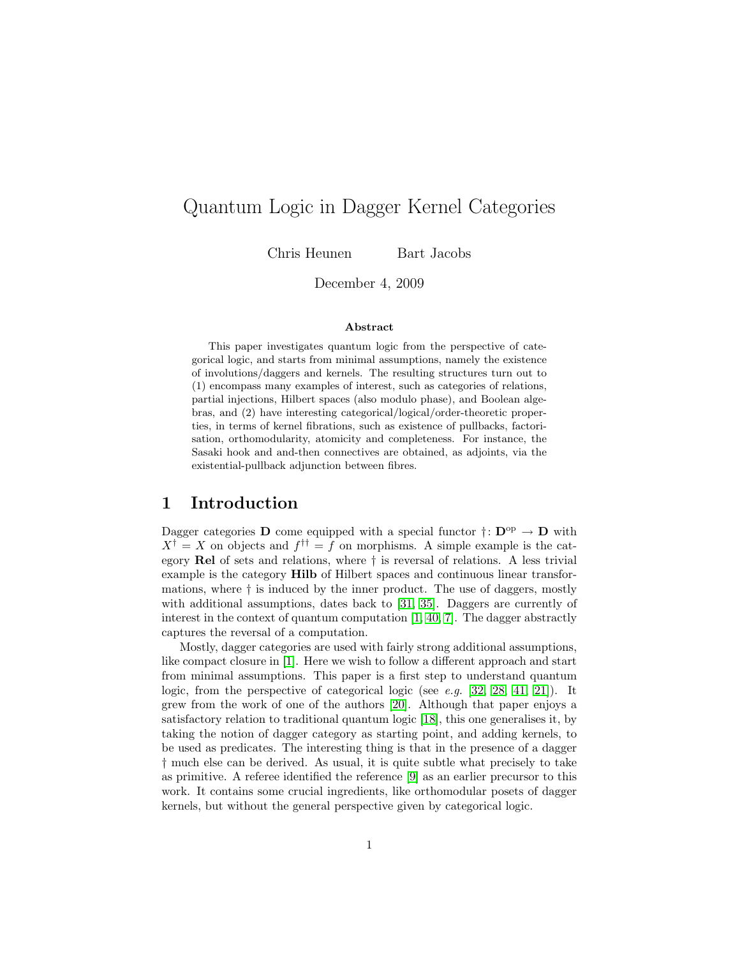# Quantum Logic in Dagger Kernel Categories

Chris Heunen Bart Jacobs

December 4, 2009

#### Abstract

This paper investigates quantum logic from the perspective of categorical logic, and starts from minimal assumptions, namely the existence of involutions/daggers and kernels. The resulting structures turn out to (1) encompass many examples of interest, such as categories of relations, partial injections, Hilbert spaces (also modulo phase), and Boolean algebras, and (2) have interesting categorical/logical/order-theoretic properties, in terms of kernel fibrations, such as existence of pullbacks, factorisation, orthomodularity, atomicity and completeness. For instance, the Sasaki hook and and-then connectives are obtained, as adjoints, via the existential-pullback adjunction between fibres.

## 1 Introduction

Dagger categories **D** come equipped with a special functor  $\dagger: \mathbf{D}^{\text{op}} \to \mathbf{D}$  with  $X^{\dagger} = X$  on objects and  $f^{\dagger \dagger} = f$  on morphisms. A simple example is the category Rel of sets and relations, where † is reversal of relations. A less trivial example is the category Hilb of Hilbert spaces and continuous linear transformations, where † is induced by the inner product. The use of daggers, mostly with additional assumptions, dates back to [\[31,](#page-34-0) [35\]](#page-34-1). Daggers are currently of interest in the context of quantum computation [\[1,](#page-32-0) [40,](#page-34-2) [7\]](#page-32-1). The dagger abstractly captures the reversal of a computation.

Mostly, dagger categories are used with fairly strong additional assumptions, like compact closure in [\[1\]](#page-32-0). Here we wish to follow a different approach and start from minimal assumptions. This paper is a first step to understand quantum logic, from the perspective of categorical logic (see e.g. [\[32,](#page-34-3) [28,](#page-34-4) [41,](#page-34-5) [21\]](#page-33-0)). It grew from the work of one of the authors [\[20\]](#page-33-1). Although that paper enjoys a satisfactory relation to traditional quantum logic [\[18\]](#page-33-2), this one generalises it, by taking the notion of dagger category as starting point, and adding kernels, to be used as predicates. The interesting thing is that in the presence of a dagger † much else can be derived. As usual, it is quite subtle what precisely to take as primitive. A referee identified the reference [\[9\]](#page-33-3) as an earlier precursor to this work. It contains some crucial ingredients, like orthomodular posets of dagger kernels, but without the general perspective given by categorical logic.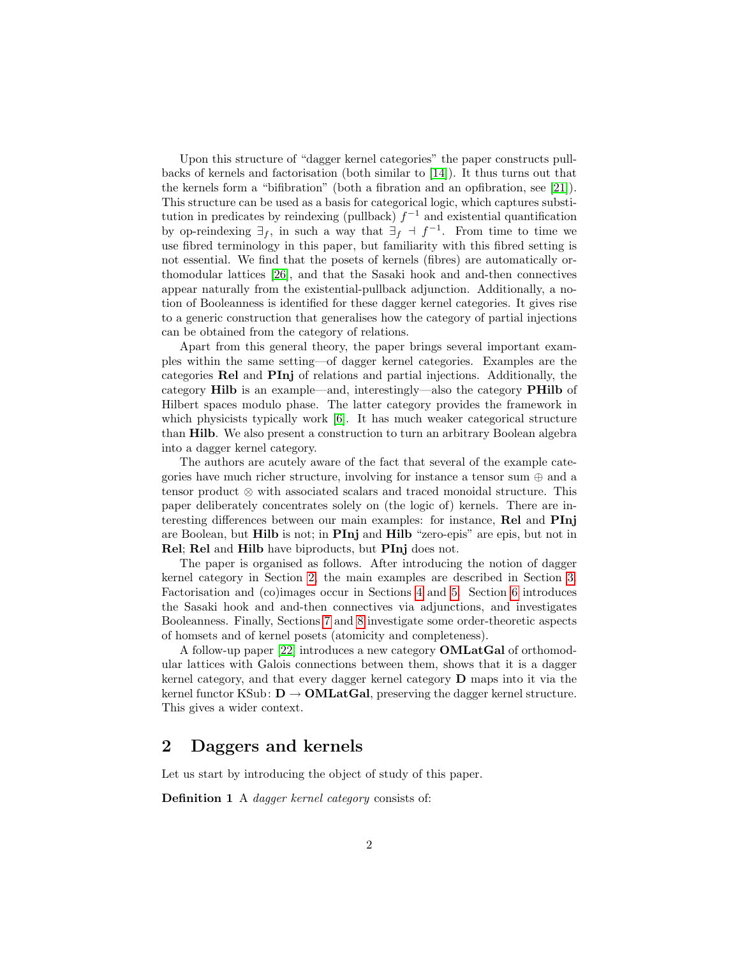Upon this structure of "dagger kernel categories" the paper constructs pullbacks of kernels and factorisation (both similar to [\[14\]](#page-33-4)). It thus turns out that the kernels form a "bifibration" (both a fibration and an opfibration, see [\[21\]](#page-33-0)). This structure can be used as a basis for categorical logic, which captures substitution in predicates by reindexing (pullback)  $f^{-1}$  and existential quantification by op-reindexing  $\exists_f$ , in such a way that  $\exists_f \dashv f^{-1}$ . From time to time we use fibred terminology in this paper, but familiarity with this fibred setting is not essential. We find that the posets of kernels (fibres) are automatically orthomodular lattices [\[26\]](#page-34-6), and that the Sasaki hook and and-then connectives appear naturally from the existential-pullback adjunction. Additionally, a notion of Booleanness is identified for these dagger kernel categories. It gives rise to a generic construction that generalises how the category of partial injections can be obtained from the category of relations.

Apart from this general theory, the paper brings several important examples within the same setting—of dagger kernel categories. Examples are the categories Rel and PInj of relations and partial injections. Additionally, the category Hilb is an example—and, interestingly—also the category PHilb of Hilbert spaces modulo phase. The latter category provides the framework in which physicists typically work [\[6\]](#page-32-2). It has much weaker categorical structure than Hilb. We also present a construction to turn an arbitrary Boolean algebra into a dagger kernel category.

The authors are acutely aware of the fact that several of the example categories have much richer structure, involving for instance a tensor sum  $\oplus$  and a tensor product ⊗ with associated scalars and traced monoidal structure. This paper deliberately concentrates solely on (the logic of) kernels. There are interesting differences between our main examples: for instance, Rel and PInj are Boolean, but Hilb is not; in PInj and Hilb "zero-epis" are epis, but not in Rel; Rel and Hilb have biproducts, but PInj does not.

The paper is organised as follows. After introducing the notion of dagger kernel category in Section [2,](#page-1-0) the main examples are described in Section [3.](#page-8-0) Factorisation and (co)images occur in Sections [4](#page-14-0) and [5.](#page-19-0) Section [6](#page-21-0) introduces the Sasaki hook and and-then connectives via adjunctions, and investigates Booleanness. Finally, Sections [7](#page-26-0) and [8](#page-29-0) investigate some order-theoretic aspects of homsets and of kernel posets (atomicity and completeness).

A follow-up paper [\[22\]](#page-33-5) introduces a new category OMLatGal of orthomodular lattices with Galois connections between them, shows that it is a dagger kernel category, and that every dagger kernel category D maps into it via the kernel functor KSub:  $D \rightarrow OMLatGal$ , preserving the dagger kernel structure. This gives a wider context.

## <span id="page-1-0"></span>2 Daggers and kernels

<span id="page-1-1"></span>Let us start by introducing the object of study of this paper.

Definition 1 A *dagger kernel category* consists of: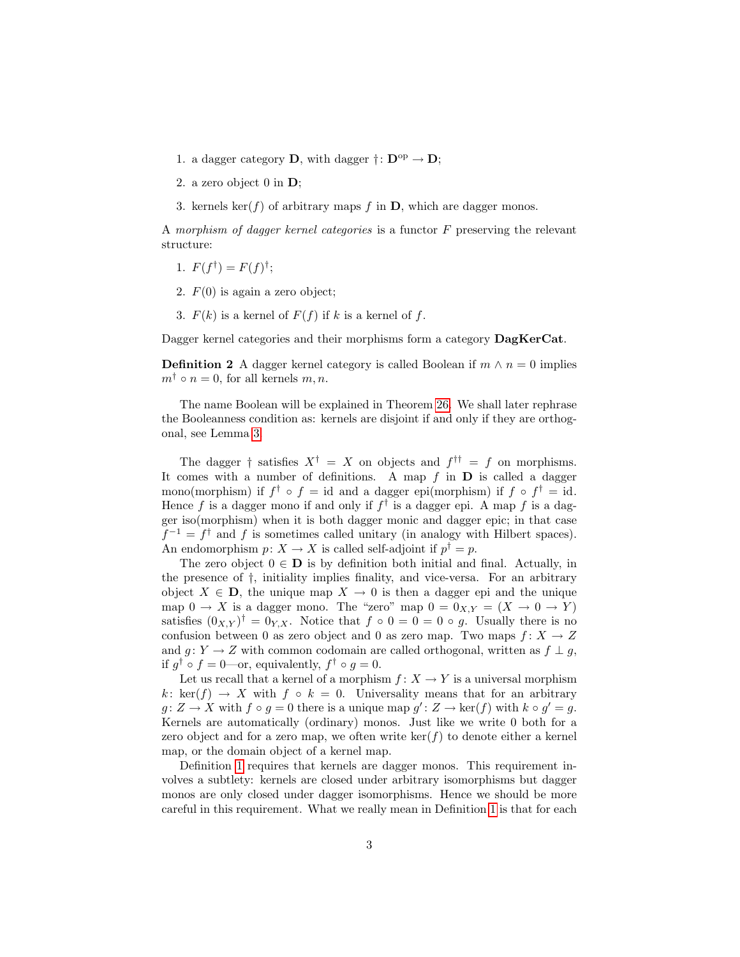- 1. a dagger category **D**, with dagger  $\dagger: \mathbf{D}^{\text{op}} \to \mathbf{D}$ ;
- 2. a zero object 0 in D;
- 3. kernels ker(f) of arbitrary maps f in  $D$ , which are dagger monos.

A morphism of dagger kernel categories is a functor  $F$  preserving the relevant structure:

- 1.  $F(f^{\dagger}) = F(f)^{\dagger}$ ;
- 2.  $F(0)$  is again a zero object;
- 3.  $F(k)$  is a kernel of  $F(f)$  if k is a kernel of f.

Dagger kernel categories and their morphisms form a category  $\text{DagKerCat}$ .

**Definition 2** A dagger kernel category is called Boolean if  $m \wedge n = 0$  implies  $m^{\dagger} \circ n = 0$ , for all kernels  $m, n$ .

The name Boolean will be explained in Theorem [26.](#page-23-0) We shall later rephrase the Booleanness condition as: kernels are disjoint if and only if they are orthogonal, see Lemma [3.](#page-3-0)

The dagger  $\dagger$  satisfies  $X^{\dagger} = X$  on objects and  $f^{\dagger \dagger} = f$  on morphisms. It comes with a number of definitions. A map  $f$  in  $D$  is called a dagger mono(morphism) if  $f^{\dagger} \circ f = id$  and a dagger epi(morphism) if  $f \circ f^{\dagger} = id$ . Hence f is a dagger mono if and only if  $f^{\dagger}$  is a dagger epi. A map f is a dagger iso(morphism) when it is both dagger monic and dagger epic; in that case  $f^{-1} = f^{\dagger}$  and f is sometimes called unitary (in analogy with Hilbert spaces). An endomorphism  $p: X \to X$  is called self-adjoint if  $p^{\dagger} = p$ .

The zero object  $0 \in \mathbf{D}$  is by definition both initial and final. Actually, in the presence of †, initiality implies finality, and vice-versa. For an arbitrary object  $X \in \mathbf{D}$ , the unique map  $X \to 0$  is then a dagger epi and the unique map  $0 \to X$  is a dagger mono. The "zero" map  $0 = 0_{X,Y} = (X \to 0 \to Y)$ satisfies  $(0_{X,Y})^{\dagger} = 0_{Y,X}$ . Notice that  $f \circ 0 = 0 = 0 \circ g$ . Usually there is no confusion between 0 as zero object and 0 as zero map. Two maps  $f: X \to Z$ and  $g: Y \to Z$  with common codomain are called orthogonal, written as  $f \perp g$ , if  $g^{\dagger} \circ f = 0$ —or, equivalently,  $f^{\dagger} \circ g = 0$ .

Let us recall that a kernel of a morphism  $f: X \to Y$  is a universal morphism k: ker(f)  $\rightarrow X$  with f ∘ k = 0. Universality means that for an arbitrary  $g: Z \to X$  with  $f \circ g = 0$  there is a unique map  $g': Z \to \text{ker}(f)$  with  $k \circ g' = g$ . Kernels are automatically (ordinary) monos. Just like we write 0 both for a zero object and for a zero map, we often write  $\ker(f)$  to denote either a kernel map, or the domain object of a kernel map.

Definition [1](#page-1-1) requires that kernels are dagger monos. This requirement involves a subtlety: kernels are closed under arbitrary isomorphisms but dagger monos are only closed under dagger isomorphisms. Hence we should be more careful in this requirement. What we really mean in Definition [1](#page-1-1) is that for each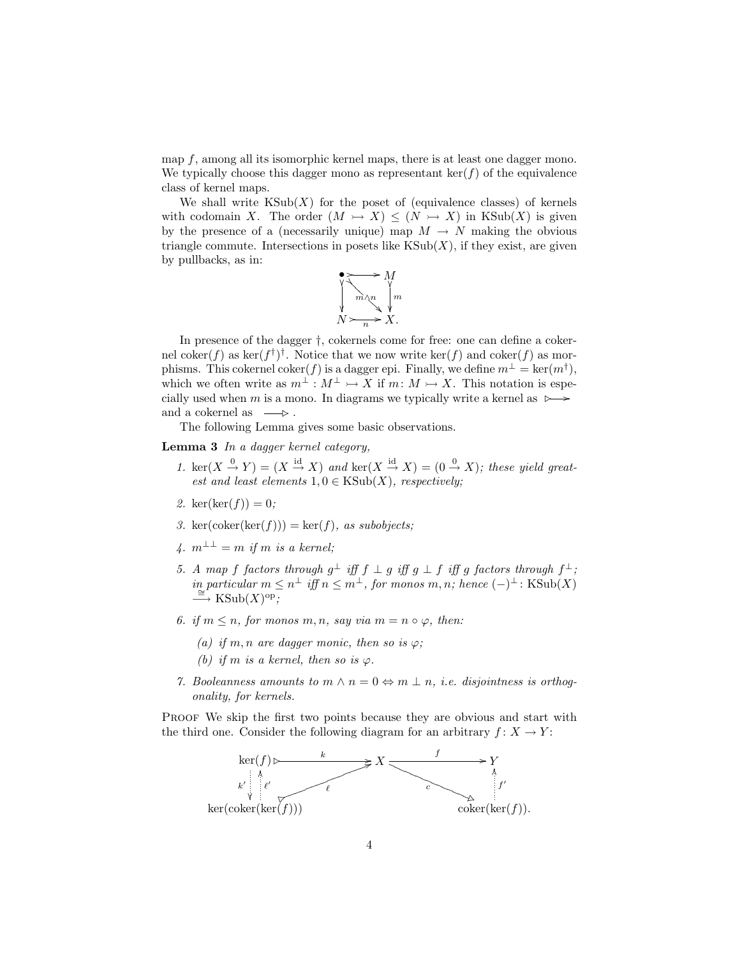map f, among all its isomorphic kernel maps, there is at least one dagger mono. We typically choose this dagger mono as representant  $\ker(f)$  of the equivalence class of kernel maps.

We shall write  $\text{KSub}(X)$  for the poset of (equivalence classes) of kernels with codomain X. The order  $(M \rightarrowtail X) \leq (N \rightarrowtail X)$  in KSub $(X)$  is given by the presence of a (necessarily unique) map  $M \to N$  making the obvious triangle commute. Intersections in posets like  $KSub(X)$ , if they exist, are given by pullbacks, as in:



In presence of the dagger †, cokernels come for free: one can define a cokernel coker $(f)$  as ker $(f^{\dagger})^{\dagger}$ . Notice that we now write ker $(f)$  and coker $(f)$  as morphisms. This cokernel coker(f) is a dagger epi. Finally, we define  $m^{\perp} = \text{ker}(m^{\dagger}),$ which we often write as  $m^{\perp}: M^{\perp} \rightarrow X$  if  $m: M \rightarrow X$ . This notation is especially used when m is a mono. In diagrams we typically write a kernel as  $\rightarrow \rightarrow$ and a cokernel as  $\;\;\longrightarrow\;\;$ 

The following Lemma gives some basic observations.

<span id="page-3-0"></span>Lemma 3 In a dagger kernel category,

- 1.  $\ker(X \stackrel{0}{\to} Y) = (X \stackrel{\text{id}}{\to} X)$  and  $\ker(X \stackrel{\text{id}}{\to} X) = (0 \stackrel{0}{\to} X)$ ; these yield greatest and least elements  $1, 0 \in KSub(X)$ , respectively;
- 2.  $\ker(\ker(f)) = 0;$
- 3. ker(coker(ker(f))) = ker(f), as subobjects;
- 4.  $m^{\perp \perp} = m$  if m is a kernel;
- 5. A map f factors through  $g^{\perp}$  iff  $f \perp g$  iff  $g \perp f$  iff g factors through  $f^{\perp}$ ; in particular  $m \leq n^{\perp}$  iff  $n \leq m^{\perp}$ , for monos  $m, n$ ; hence  $(-)^{\perp}$ : KSub(X)<br>
→ KSub(X)<sup>op</sup>;
- 6. if  $m \leq n$ , for monos m, n, say via  $m = n \circ \varphi$ , then:
	- (a) if m, n are dagger monic, then so is  $\varphi$ ;
	- (b) if m is a kernel, then so is  $\varphi$ .
- 7. Booleanness amounts to  $m \wedge n = 0 \Leftrightarrow m \perp n$ , i.e. disjointness is orthogonality, for kernels.

PROOF We skip the first two points because they are obvious and start with the third one. Consider the following diagram for an arbitrary  $f: X \to Y$ :

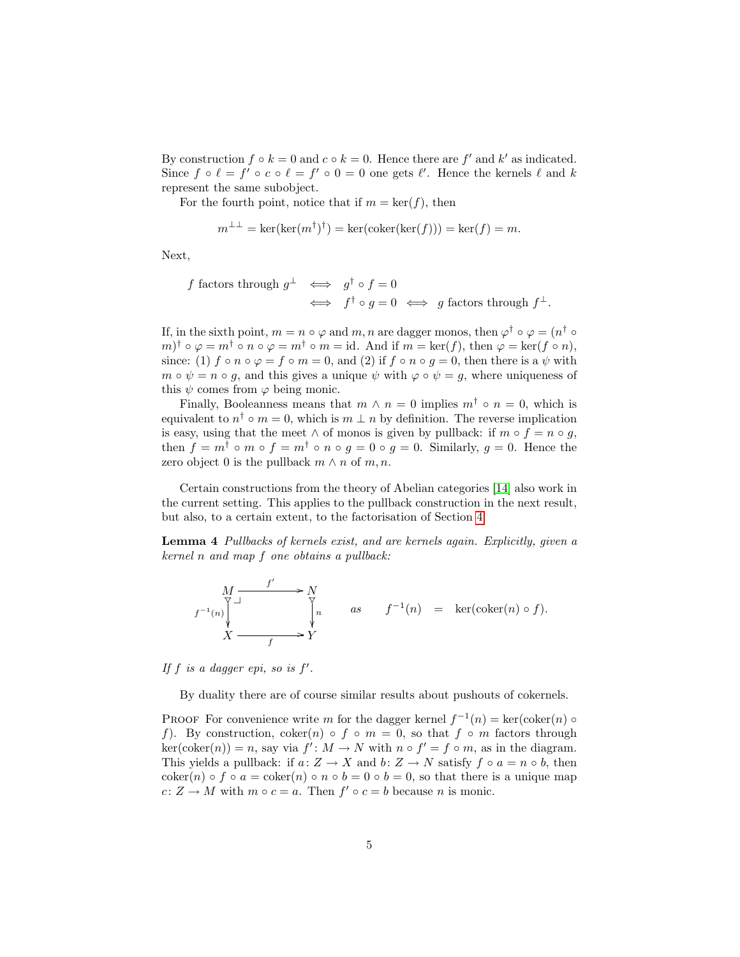By construction  $f \circ k = 0$  and  $c \circ k = 0$ . Hence there are  $f'$  and  $k'$  as indicated. Since  $f \circ \ell = f' \circ c \circ \ell = f' \circ 0 = 0$  one gets  $\ell'$ . Hence the kernels  $\ell$  and k represent the same subobject.

For the fourth point, notice that if  $m = \text{ker}(f)$ , then

$$
m^{\perp \perp} = \ker(\ker(m^{\dagger})^{\dagger}) = \ker(\operatorname{coker}(\ker(f))) = \ker(f) = m.
$$

Next,

f factors through 
$$
g^{\perp} \iff g^{\dagger} \circ f = 0
$$
  
 $\iff f^{\dagger} \circ g = 0 \iff g \text{ factors through } f^{\perp}.$ 

If, in the sixth point,  $m = n \circ \varphi$  and  $m, n$  are dagger monos, then  $\varphi^{\dagger} \circ \varphi = (n^{\dagger} \circ \varphi)$  $(m)^\dagger \circ \varphi = m^\dagger \circ n \circ \varphi = m^\dagger \circ m = \text{id}$ . And if  $m = \text{ker}(f)$ , then  $\varphi = \text{ker}(f \circ n)$ , since: (1)  $f \circ n \circ \varphi = f \circ m = 0$ , and (2) if  $f \circ n \circ q = 0$ , then there is a  $\psi$  with  $m \circ \psi = n \circ q$ , and this gives a unique  $\psi$  with  $\varphi \circ \psi = q$ , where uniqueness of this  $\psi$  comes from  $\varphi$  being monic.

Finally, Booleanness means that  $m \wedge n = 0$  implies  $m^{\dagger} \circ n = 0$ , which is equivalent to  $n^{\dagger} \circ m = 0$ , which is  $m \perp n$  by definition. The reverse implication is easy, using that the meet  $\wedge$  of monos is given by pullback: if  $m \circ f = n \circ g$ , then  $f = m^{\dagger} \circ m \circ f = m^{\dagger} \circ n \circ g = 0 \circ g = 0$ . Similarly,  $g = 0$ . Hence the zero object 0 is the pullback  $m \wedge n$  of  $m, n$ .

Certain constructions from the theory of Abelian categories [\[14\]](#page-33-4) also work in the current setting. This applies to the pullback construction in the next result, but also, to a certain extent, to the factorisation of Section [4.](#page-14-0)

<span id="page-4-0"></span>Lemma 4 Pullbacks of kernels exist, and are kernels again. Explicitly, given a kernel n and map f one obtains a pullback:

$$
\begin{array}{ccc}\n & f' & \longrightarrow & N \\
f^{-1}(n) & & \searrow & \\
X & \longrightarrow & \searrow & \\
X & \longrightarrow & Y\n\end{array}\n\quad as \quad f^{-1}(n) = \ker(\mathrm{coker}(n) \circ f).
$$

If  $f$  is a dagger epi, so is  $f'$ .

By duality there are of course similar results about pushouts of cokernels.

PROOF For convenience write m for the dagger kernel  $f^{-1}(n) = \text{ker}(\text{coker}(n) \circ$ f). By construction,  $\text{coker}(n) \circ f \circ m = 0$ , so that  $f \circ m$  factors through  $\ker(\text{coker}(n)) = n$ , say via  $f' : M \to N$  with  $n \circ f' = f \circ m$ , as in the diagram. This yields a pullback: if  $a: Z \to X$  and  $b: Z \to N$  satisfy  $f \circ a = n \circ b$ , then coker(n) ◦ f ◦ a = coker(n) ◦ n ◦ b = 0 ◦ b = 0, so that there is a unique map  $c: Z \to M$  with  $m \circ c = a$ . Then  $f' \circ c = b$  because n is monic.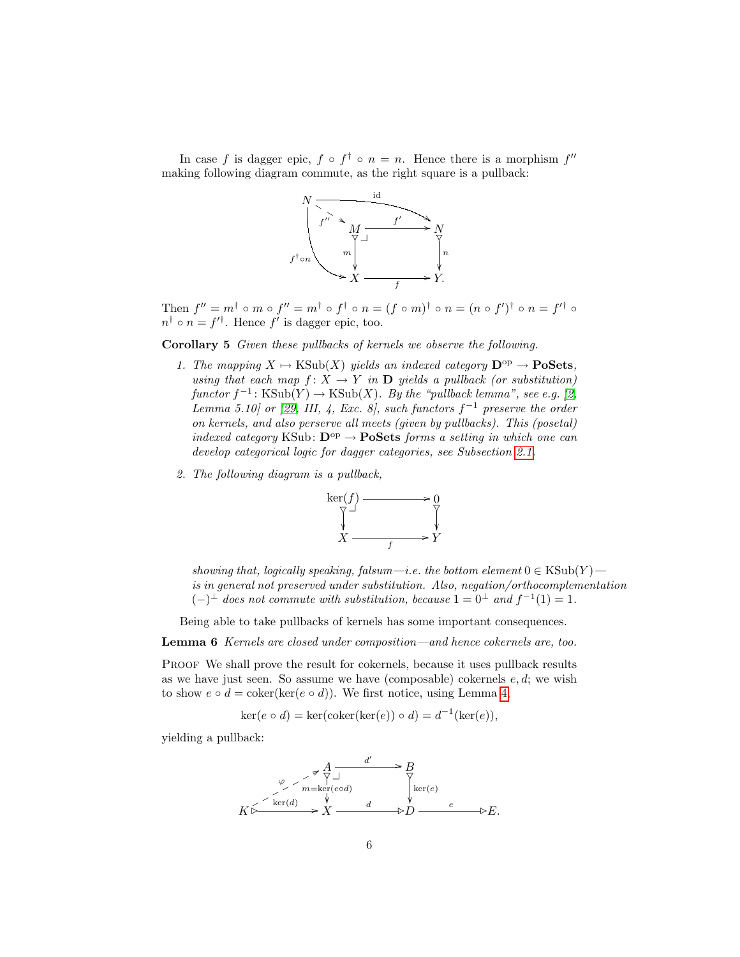In case f is dagger epic,  $f \circ f^{\dagger} \circ n = n$ . Hence there is a morphism  $f''$ making following diagram commute, as the right square is a pullback:



Then  $f'' = m^{\dagger} \circ m \circ f'' = m^{\dagger} \circ f^{\dagger} \circ n = (f \circ m)^{\dagger} \circ n = (n \circ f')^{\dagger} \circ n = f'^{\dagger} \circ$  $n^{\dagger} \circ n = f'^{\dagger}$ . Hence f' is dagger epic, too.

<span id="page-5-0"></span>Corollary 5 Given these pullbacks of kernels we observe the following.

- 1. The mapping  $X \mapsto \text{KSub}(X)$  yields an indexed category  $\mathbf{D}^{\text{op}} \to \mathbf{PoSets}$ , using that each map  $f: X \to Y$  in **D** yields a pullback (or substitution)  $functor f^{-1}: KSub(Y) \to KSub(X)$ . By the "pullback lemma", see e.g. [\[2,](#page-32-3) Lemma 5.10] or [\[29,](#page-34-7) III, 4, Exc. 8], such functors  $f^{-1}$  preserve the order on kernels, and also perserve all meets (given by pullbacks). This (posetal) indexed category KSub:  $\mathbf{D}^{\mathrm{op}} \to \mathbf{Po}$ Sets forms a setting in which one can develop categorical logic for dagger categories, see Subsection [2.1.](#page-7-0)
- 2. The following diagram is a pullback,



showing that, logically speaking, falsum—i.e. the bottom element  $0 \in \text{KSub}(Y)$  is in general not preserved under substitution. Also, negation/orthocomplementation  $(-)^{\perp}$  does not commute with substitution, because  $1 = 0^{\perp}$  and  $f^{-1}(1) = 1$ .

Being able to take pullbacks of kernels has some important consequences.

<span id="page-5-1"></span>Lemma 6 Kernels are closed under composition—and hence cokernels are, too.

PROOF We shall prove the result for cokernels, because it uses pullback results as we have just seen. So assume we have (composable) cokernels  $e, d$ ; we wish to show  $e \circ d = \text{coker}(\ker(e \circ d))$ . We first notice, using Lemma [4,](#page-4-0)

$$
ker(e \circ d) = ker(coker(ker(e)) \circ d) = d^{-1}(ker(e)),
$$

yielding a pullback:

A d 0 / \_ m=ker(e◦d) \_ B\_ ker(e) K ,2 ker(d) / ϕ p8 p p p p p p X d ,2D <sup>e</sup> ,2E.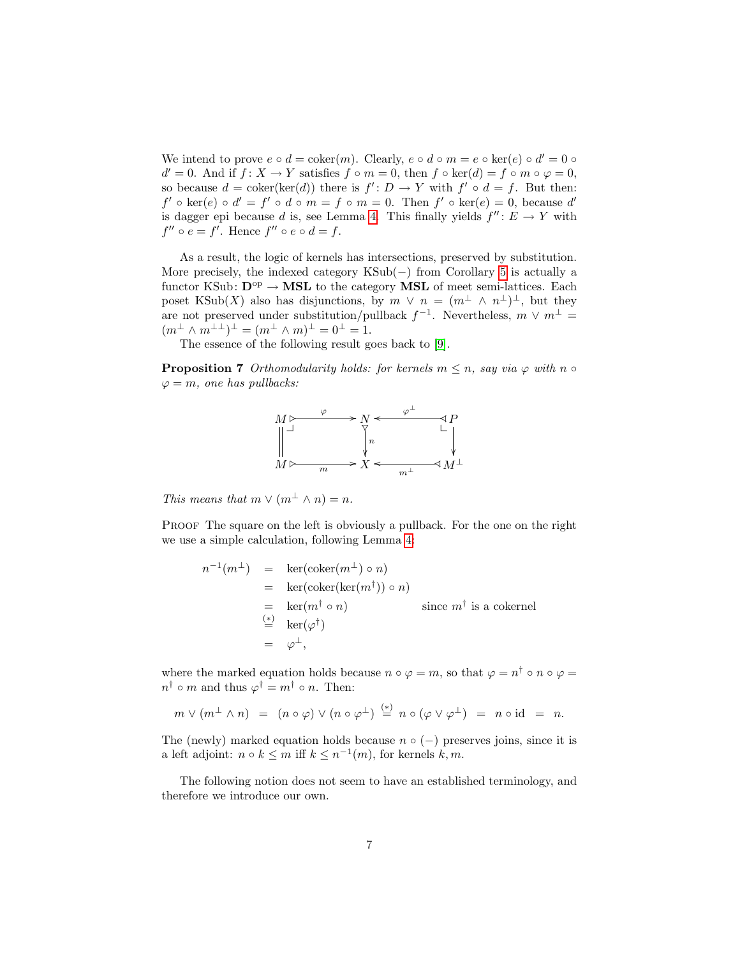We intend to prove  $e \circ d = \text{coker}(m)$ . Clearly,  $e \circ d \circ m = e \circ \text{ker}(e) \circ d' = 0$  $d' = 0$ . And if  $f: X \to Y$  satisfies  $f \circ m = 0$ , then  $f \circ \ker(d) = f \circ m \circ \varphi = 0$ , so because  $d = \text{coker}(\text{ker}(d))$  there is  $f' : D \to Y$  with  $f' \circ d = f$ . But then:  $f' \circ \ker(e) \circ d' = f' \circ d \circ m = f \circ m = 0$ . Then  $f' \circ \ker(e) = 0$ , because d' is dagger epi because d is, see Lemma [4.](#page-4-0) This finally yields  $f'' : E \to Y$  with  $f'' \circ e = f'$ . Hence  $f'' \circ e \circ d = f$ .

As a result, the logic of kernels has intersections, preserved by substitution. More precisely, the indexed category KSub(−) from Corollary [5](#page-5-0) is actually a functor KSub:  $D^{op} \to MSL$  to the category MSL of meet semi-lattices. Each poset KSub(X) also has disjunctions, by  $m \vee n = (m^{\perp} \wedge n^{\perp})^{\perp}$ , but they are not preserved under substitution/pullback  $f^{-1}$ . Nevertheless,  $m \vee m^{\perp} =$  $(m^{\perp} \wedge m^{\perp \perp})^{\perp} = (m^{\perp} \wedge m)^{\perp} = 0^{\perp} = 1.$ 

The essence of the following result goes back to [\[9\]](#page-33-3).

<span id="page-6-0"></span>**Proposition 7** Orthomodularity holds: for kernels  $m \leq n$ , say via  $\varphi$  with  $n \circ$  $\varphi = m$ , one has pullbacks:



This means that  $m \vee (m^{\perp} \wedge n) = n$ .

PROOF The square on the left is obviously a pullback. For the one on the right we use a simple calculation, following Lemma [4:](#page-4-0)

$$
n^{-1}(m^{\perp}) = \ker(\text{coker}(m^{\perp}) \circ n)
$$
  
=  $\ker(\text{coker}(\ker(m^{\dagger})) \circ n)$   
=  $\ker(m^{\dagger} \circ n)$  since  $m^{\dagger}$  is a cokernel  
=  $\ker(\varphi^{\dagger})$   
=  $\varphi^{\perp}$ ,

where the marked equation holds because  $n \circ \varphi = m$ , so that  $\varphi = n^{\dagger} \circ n \circ \varphi =$  $n^{\dagger} \circ m$  and thus  $\varphi^{\dagger} = m^{\dagger} \circ n$ . Then:

$$
m \vee (m^{\perp} \wedge n) = (n \circ \varphi) \vee (n \circ \varphi^{\perp}) \stackrel{(*)}{=} n \circ (\varphi \vee \varphi^{\perp}) = n \circ id = n.
$$

The (newly) marked equation holds because  $n \circ (-)$  preserves joins, since it is a left adjoint:  $n \circ k \leq m$  iff  $k \leq n^{-1}(m)$ , for kernels  $k, m$ .

The following notion does not seem to have an established terminology, and therefore we introduce our own.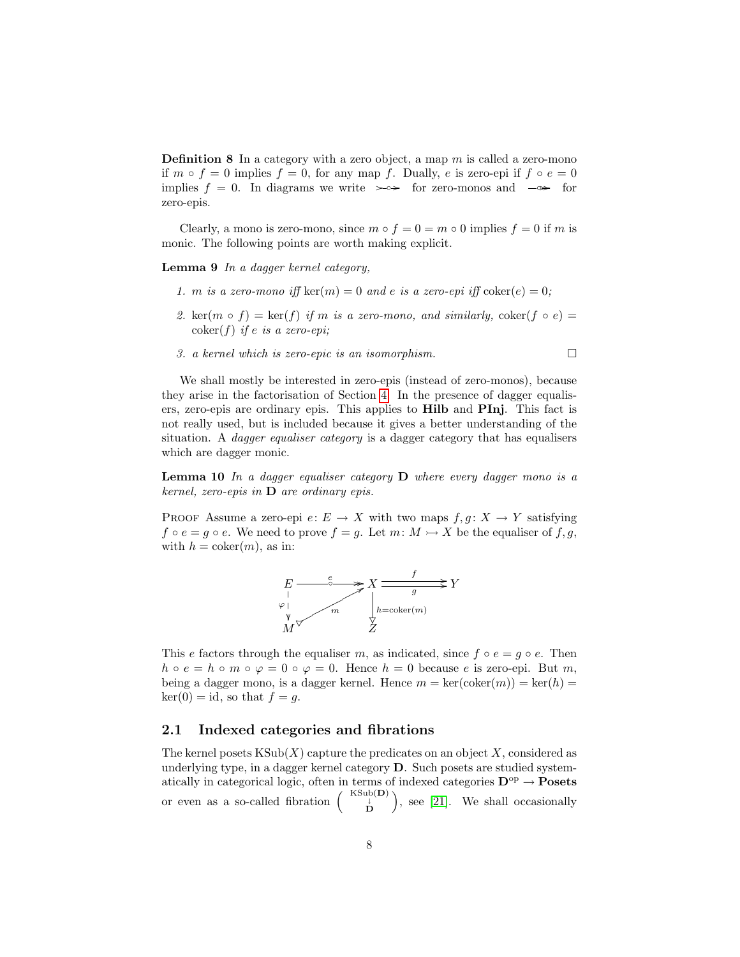**Definition 8** In a category with a zero object, a map  $m$  is called a zero-mono if  $m \circ f = 0$  implies  $f = 0$ , for any map f. Dually, e is zero-epi if  $f \circ e = 0$ implies  $f = 0$ . In diagrams we write  $\rightarrow \rightarrow$  for zero-monos and  $\rightarrow \rightarrow$  for zero-epis.

Clearly, a mono is zero-mono, since  $m \circ f = 0 = m \circ 0$  implies  $f = 0$  if m is monic. The following points are worth making explicit.

<span id="page-7-1"></span>Lemma 9 In a dagger kernel category,

- 1. m is a zero-mono iff ker $(m) = 0$  and e is a zero-epi iff  $\text{coker}(e) = 0$ ;
- 2. ker(m ∘ f) = ker(f) if m is a zero-mono, and similarly, coker(f ∘ e) =  $\mathrm{coker}(f)$  if e is a zero-epi;
- 3. a kernel which is zero-epic is an isomorphism.

We shall mostly be interested in zero-epis (instead of zero-monos), because they arise in the factorisation of Section [4.](#page-14-0) In the presence of dagger equalisers, zero-epis are ordinary epis. This applies to Hilb and PInj. This fact is not really used, but is included because it gives a better understanding of the situation. A *dagger equaliser category* is a dagger category that has equalisers which are dagger monic.

<span id="page-7-2"></span>**Lemma 10** In a dagger equaliser category  $D$  where every dagger mono is a kernel, zero-epis in D are ordinary epis.

PROOF Assume a zero-epi  $e: E \to X$  with two maps  $f, g: X \to Y$  satisfying  $f \circ e = g \circ e$ . We need to prove  $f = g$ . Let  $m: M \rightarrow X$  be the equaliser of  $f, g$ , with  $h = \text{coker}(m)$ , as in:



This e factors through the equaliser m, as indicated, since  $f \circ e = g \circ e$ . Then  $h \circ e = h \circ m \circ \varphi = 0 \circ \varphi = 0$ . Hence  $h = 0$  because e is zero-epi. But m, being a dagger mono, is a dagger kernel. Hence  $m = \text{ker}(\text{coker}(m)) = \text{ker}(h) =$  $\ker(0) = id$ , so that  $f = g$ .

### <span id="page-7-0"></span>2.1 Indexed categories and fibrations

The kernel posets  $\text{KSub}(X)$  capture the predicates on an object X, considered as underlying type, in a dagger kernel category D. Such posets are studied systematically in categorical logic, often in terms of indexed categories  $\mathbf{D}^{\text{op}} \to \mathbf{Posets}$ or even as a so-called fibration  $\begin{pmatrix} KSub(\mathbf{D}) \\ D \end{pmatrix}$ , see [\[21\]](#page-33-0). We shall occasionally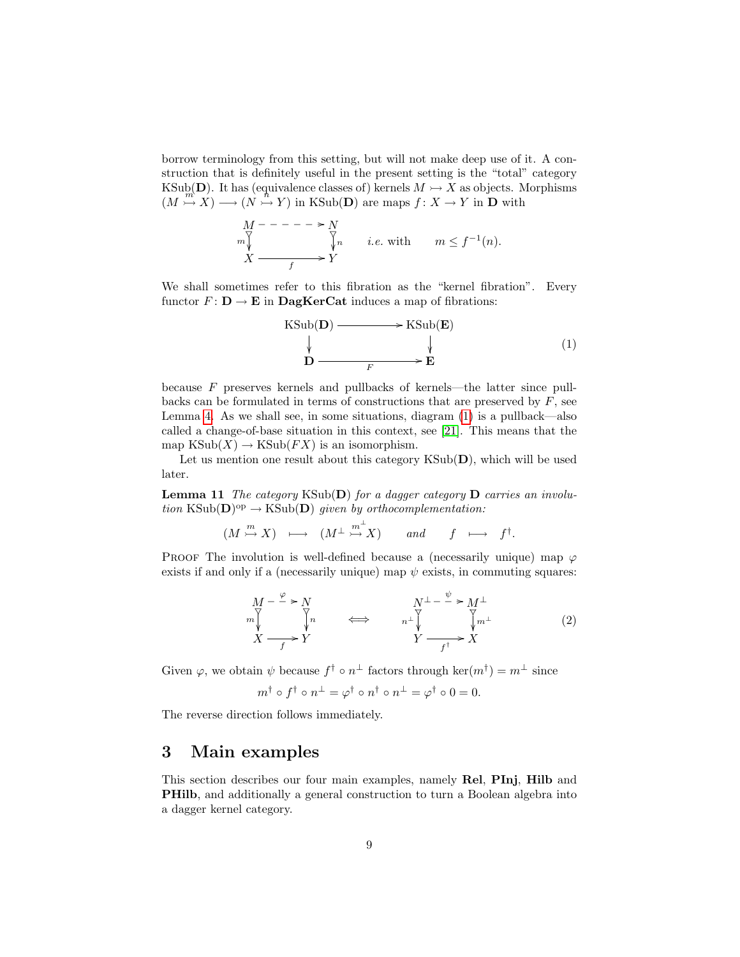borrow terminology from this setting, but will not make deep use of it. A construction that is definitely useful in the present setting is the "total" category KSub(D). It has (equivalence classes of) kernels  $M \rightarrow X$  as objects. Morphisms  $(M \rightarrow X) \rightarrow (N \rightarrow Y)$  in KSub(D) are maps  $f: X \rightarrow Y$  in D with

$$
M - - - - \rightarrow N
$$
  
\n
$$
M
$$
  
\n
$$
\downarrow n
$$
  
\n
$$
i.e. \text{ with } m \le f^{-1}(n).
$$
  
\n
$$
X \xrightarrow{f} Y
$$

We shall sometimes refer to this fibration as the "kernel fibration". Every functor  $F: D \to E$  in DagKerCat induces a map of fibrations:

<span id="page-8-1"></span>
$$
\begin{array}{ccc}\n\text{KSub}(\mathbf{D}) & \longrightarrow & \text{KSub}(\mathbf{E}) \\
\downarrow & & \downarrow \\
\mathbf{D} & \xrightarrow{F} & \mathbf{E}\n\end{array}\n\tag{1}
$$

because F preserves kernels and pullbacks of kernels—the latter since pullbacks can be formulated in terms of constructions that are preserved by  $F$ , see Lemma [4.](#page-4-0) As we shall see, in some situations, diagram [\(1\)](#page-8-1) is a pullback—also called a change-of-base situation in this context, see [\[21\]](#page-33-0). This means that the map  $\text{KSub}(X) \to \text{KSub}(FX)$  is an isomorphism.

Let us mention one result about this category  $\text{KSub}(\mathbf{D})$ , which will be used later.

**Lemma 11** The category  $KSub(D)$  for a dagger category D carries an involution  $\text{KSub}(\mathbf{D})^{\text{op}} \to \text{KSub}(\mathbf{D})$  given by orthocomplementation:

$$
(M \stackrel{m}{\rightarrow} X) \longrightarrow (M^{\perp} \stackrel{m^{\perp}}{\rightarrow} X) \quad \text{and} \quad f \longmapsto f^{\dagger}.
$$

PROOF The involution is well-defined because a (necessarily unique) map  $\varphi$ exists if and only if a (necessarily unique) map  $\psi$  exists, in commuting squares:

<span id="page-8-2"></span>
$$
M - \frac{\varphi}{N} > N
$$
  
\n
$$
M - \frac{\varphi}{N}
$$
  
\n
$$
M
$$
  
\n
$$
m \downarrow
$$
  
\n
$$
M^{\perp} - \frac{\psi}{N} > M^{\perp}
$$
  
\n
$$
m^{\perp} \downarrow
$$
  
\n
$$
Y \longrightarrow
$$
  
\n
$$
Y \longrightarrow
$$
  
\n
$$
M^{\perp}
$$
  
\n
$$
M^{\perp}
$$
  
\n
$$
M^{\perp}
$$
  
\n
$$
M^{\perp}
$$
  
\n
$$
M^{\perp}
$$
  
\n
$$
M^{\perp}
$$
  
\n
$$
M^{\perp}
$$
  
\n
$$
M^{\perp}
$$
  
\n
$$
M^{\perp}
$$
  
\n
$$
M^{\perp}
$$
  
\n
$$
M^{\perp}
$$
  
\n
$$
M^{\perp}
$$
  
\n
$$
M^{\perp}
$$
  
\n
$$
M^{\perp}
$$
  
\n
$$
M^{\perp}
$$
  
\n
$$
M^{\perp}
$$
  
\n
$$
M^{\perp}
$$
  
\n
$$
M^{\perp}
$$

Given  $\varphi$ , we obtain  $\psi$  because  $f^{\dagger} \circ n^{\perp}$  factors through ker $(m^{\dagger}) = m^{\perp}$  since

$$
m^{\dagger} \circ f^{\dagger} \circ n^{\perp} = \varphi^{\dagger} \circ n^{\dagger} \circ n^{\perp} = \varphi^{\dagger} \circ 0 = 0.
$$

The reverse direction follows immediately.

### <span id="page-8-0"></span>3 Main examples

This section describes our four main examples, namely Rel, PInj, Hilb and PHilb, and additionally a general construction to turn a Boolean algebra into a dagger kernel category.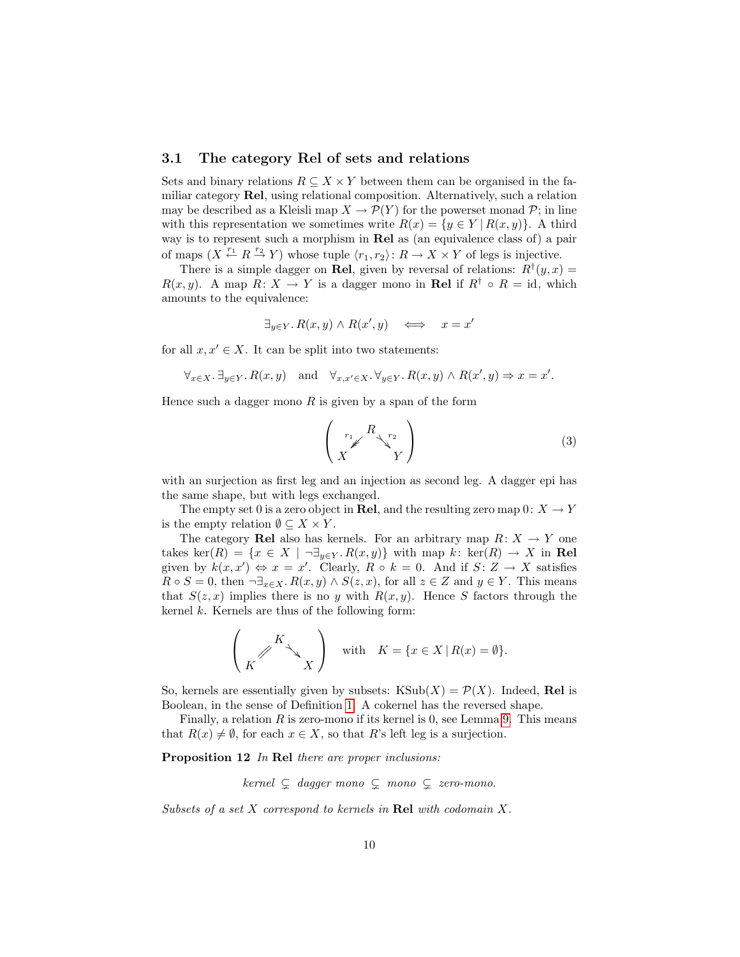### 3.1 The category Rel of sets and relations

Sets and binary relations  $R \subseteq X \times Y$  between them can be organised in the familiar category Rel, using relational composition. Alternatively, such a relation may be described as a Kleisli map  $X \to \mathcal{P}(Y)$  for the powerset monad  $\mathcal{P}$ ; in line with this representation we sometimes write  $R(x) = \{y \in Y \mid R(x, y)\}\$ . A third way is to represent such a morphism in Rel as (an equivalence class of) a pair of maps  $(X \stackrel{r_1}{\leftarrow} R \stackrel{r_2}{\rightarrow} Y)$  whose tuple  $\langle r_1, r_2 \rangle: R \rightarrow X \times Y$  of legs is injective.

There is a simple dagger on **Rel**, given by reversal of relations:  $R^{\dagger}(y, x) =$  $R(x, y)$ . A map  $R: X \to Y$  is a dagger mono in **Rel** if  $R^{\dagger} \circ R = id$ , which amounts to the equivalence:

$$
\exists_{y \in Y} \ldotp R(x, y) \land R(x', y) \iff x = x'
$$

for all  $x, x' \in X$ . It can be split into two statements:

$$
\forall_{x\in X}.\ \exists_{y\in Y}.\ R(x,y) \quad \text{and} \quad \forall_{x,x'\in X}.\ \forall_{y\in Y}.\ R(x,y) \land R(x',y) \Rightarrow x=x'.
$$

Hence such a dagger mono  $R$  is given by a span of the form

$$
\begin{pmatrix} r_1 \mathcal{L} & R & r_2 \\ X & Y \end{pmatrix} \tag{3}
$$

with an surjection as first leg and an injection as second leg. A dagger epi has the same shape, but with legs exchanged.

The empty set 0 is a zero object in **Rel**, and the resulting zero map  $0: X \to Y$ is the empty relation  $\emptyset \subseteq X \times Y$ .

The category Rel also has kernels. For an arbitrary map  $R: X \to Y$  one takes ker(R) =  $\{x \in X \mid \neg \exists_{y \in Y} R(x, y)\}\$  with map k: ker(R)  $\rightarrow X$  in Rel given by  $k(x, x') \Leftrightarrow x = x'$ . Clearly,  $R \circ k = 0$ . And if  $S: Z \to X$  satisfies  $R \circ S = 0$ , then  $\neg \exists_{x \in X} R(x, y) \land S(z, x)$ , for all  $z \in Z$  and  $y \in Y$ . This means that  $S(z, x)$  implies there is no y with  $R(x, y)$ . Hence S factors through the kernel  $k$ . Kernels are thus of the following form:

$$
\left(\begin{array}{c} K \\ K \end{array}\right) \quad \text{with} \quad K = \{x \in X \mid R(x) = \emptyset\}.
$$

So, kernels are essentially given by subsets:  $KSub(X) = \mathcal{P}(X)$ . Indeed, Rel is Boolean, in the sense of Definition [1.](#page-1-1) A cokernel has the reversed shape.

Finally, a relation R is zero-mono if its kernel is 0, see Lemma [9.](#page-7-1) This means that  $R(x) \neq \emptyset$ , for each  $x \in X$ , so that R's left leg is a surjection.

<span id="page-9-0"></span>Proposition 12 In Rel there are proper inclusions:

kernel  $\subsetneq$  dagger mono  $\subsetneq$  mono  $\subsetneq$  zero-mono.

Subsets of a set  $X$  correspond to kernels in Rel with codomain  $X$ .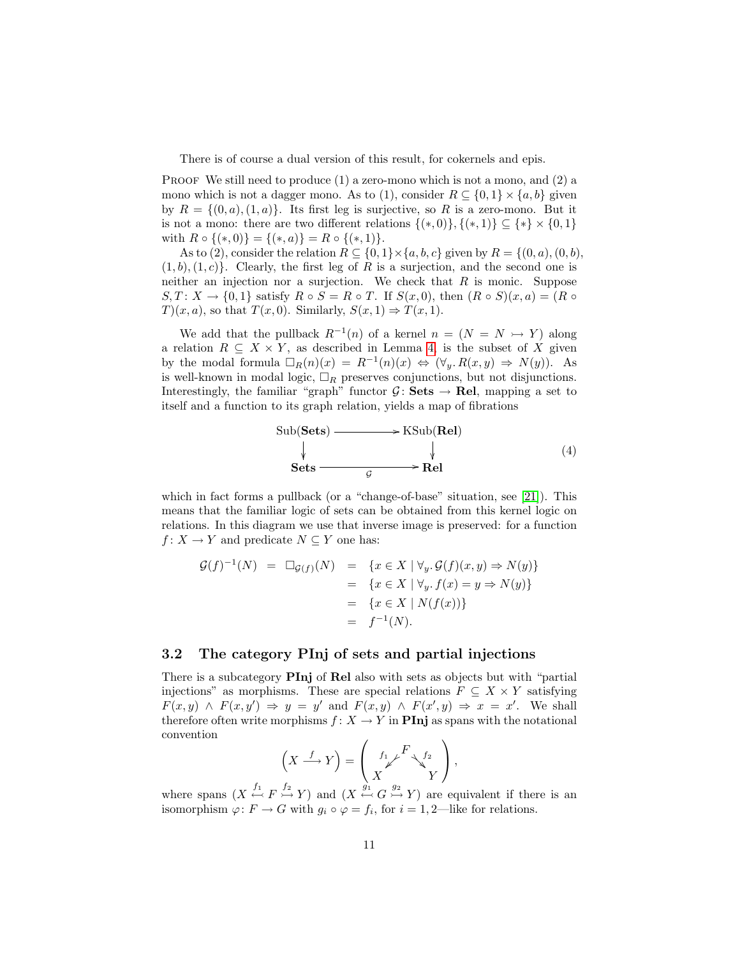There is of course a dual version of this result, for cokernels and epis.

**PROOF** We still need to produce  $(1)$  a zero-mono which is not a mono, and  $(2)$  a mono which is not a dagger mono. As to (1), consider  $R \subseteq \{0, 1\} \times \{a, b\}$  given by  $R = \{(0, a), (1, a)\}.$  Its first leg is surjective, so R is a zero-mono. But it is not a mono: there are two different relations  $\{(*,0)\}, \{(*,1)\} \subseteq \{*\} \times \{0,1\}$ with  $R \circ \{(*,0)\} = \{(*,a)\} = R \circ \{(*,1)\}.$ 

As to (2), consider the relation  $R \subseteq \{0,1\} \times \{a,b,c\}$  given by  $R = \{(0,a),(0,b),\}$  $(1, b), (1, c)$ . Clearly, the first leg of R is a surjection, and the second one is neither an injection nor a surjection. We check that  $R$  is monic. Suppose  $S, T: X \to \{0, 1\}$  satisfy  $R \circ S = R \circ T$ . If  $S(x, 0)$ , then  $(R \circ S)(x, a) = (R \circ S)(x, a)$  $T(x, a)$ , so that  $T(x, 0)$ . Similarly,  $S(x, 1) \Rightarrow T(x, 1)$ .

We add that the pullback  $R^{-1}(n)$  of a kernel  $n = (N = N \rightarrow Y)$  along a relation  $R \subseteq X \times Y$ , as described in Lemma [4,](#page-4-0) is the subset of X given by the modal formula  $\Box_R(n)(x) = R^{-1}(n)(x) \Leftrightarrow (\forall_y R(x,y) \Rightarrow N(y)).$  As is well-known in modal logic,  $\Box_R$  preserves conjunctions, but not disjunctions. Interestingly, the familiar "graph" functor  $\mathcal{G}$ : Sets  $\rightarrow$  Rel, mapping a set to itself and a function to its graph relation, yields a map of fibrations

<span id="page-10-0"></span>Sub(Sets) 
$$
\longrightarrow
$$
 KSub(Rel)  
\n $\downarrow$   $\downarrow$  (4)  
\nSets  $\longrightarrow$  Rel

which in fact forms a pullback (or a "change-of-base" situation, see [\[21\]](#page-33-0)). This means that the familiar logic of sets can be obtained from this kernel logic on relations. In this diagram we use that inverse image is preserved: for a function  $f: X \to Y$  and predicate  $N \subset Y$  one has:

$$
\mathcal{G}(f)^{-1}(N) = \Box_{\mathcal{G}(f)}(N) = \{x \in X \mid \forall y. \mathcal{G}(f)(x, y) \Rightarrow N(y)\}
$$
  
=  $\{x \in X \mid \forall y. f(x) = y \Rightarrow N(y)\}$   
=  $\{x \in X \mid N(f(x))\}$   
=  $f^{-1}(N).$ 

### 3.2 The category PInj of sets and partial injections

There is a subcategory PInj of Rel also with sets as objects but with "partial injections" as morphisms. These are special relations  $F \subseteq X \times Y$  satisfying  $F(x, y) \wedge F(x, y') \Rightarrow y = y'$  and  $F(x, y) \wedge F(x', y) \Rightarrow x = x'$ . We shall therefore often write morphisms  $f: X \to Y$  in **PInj** as spans with the notational convention  $\overline{1}$  $\lambda$ 

$$
\left(X \xrightarrow{f} Y\right) = \begin{pmatrix} f_1 \searrow f_2 \\ X \searrow f_2 \\ Y \end{pmatrix},
$$

where spans  $(X \stackrel{f_1}{\leftarrow} F \stackrel{f_2}{\rightarrowtail} Y)$  and  $(X \stackrel{g_1}{\leftarrow} G \stackrel{g_2}{\rightarrowtail} Y)$  are equivalent if there is an isomorphism  $\varphi \colon F \to G$  with  $g_i \circ \varphi = f_i$ , for  $i = 1, 2$ —like for relations.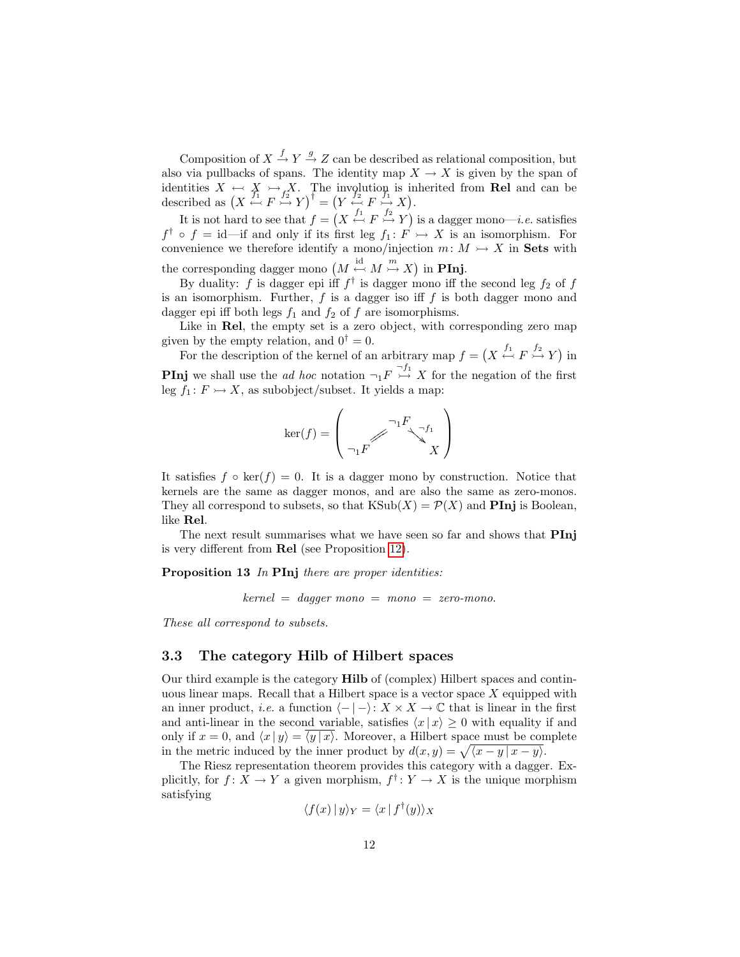Composition of  $X \stackrel{f}{\rightarrow} Y \stackrel{g}{\rightarrow} Z$  can be described as relational composition, but also via pullbacks of spans. The identity map  $X \to X$  is given by the span of identities  $X \leftrightarrow X \rightarrow X$ . The involution is inherited from Rel and can be described as  $(X \stackrel{\mathcal{F}_1}{\leftrightarrow} F \stackrel{\mathcal{F}_2}{\rightarrow} Y)^{\dagger} = (Y \stackrel{\mathcal{F}_2}{\leftrightarrow} F \stackrel{\mathcal{F}_1}{\rightarrow} X).$ 

It is not hard to see that  $f = (X \stackrel{f_1}{\leftrightarrow} F \stackrel{f_2}{\rightarrow} Y)$  is a dagger mono—*i.e.* satisfies  $f^{\dagger} \circ f = id$  -if and only if its first leg  $f_1: F \rightarrow X$  is an isomorphism. For convenience we therefore identify a mono/injection  $m: M \rightarrow X$  in Sets with the corresponding dagger mono  $(M \stackrel{\text{id}}{\leftarrow} M \stackrel{m}{\rightarrow} X)$  in **PInj**.

By duality: f is dagger epi iff  $f^{\dagger}$  is dagger mono iff the second leg  $f_2$  of f is an isomorphism. Further,  $f$  is a dagger iso iff  $f$  is both dagger mono and dagger epi iff both legs  $f_1$  and  $f_2$  of  $f$  are isomorphisms.

Like in Rel, the empty set is a zero object, with corresponding zero map given by the empty relation, and  $0^{\dagger} = 0$ .

For the description of the kernel of an arbitrary map  $f = (X \stackrel{f_1}{\leftrightarrow} F \stackrel{f_2}{\rightarrow} Y)$  in **PInj** we shall use the *ad hoc* notation  $\neg_1 F \overset{\tau_{11}}{\rightarrow} X$  for the negation of the first leg  $f_1: F \rightarrow X$ , as subobject/subset. It yields a map:

$$
\ker(f) = \begin{pmatrix} \neg_1 F & \neg f_1 \\ \neg_1 F & \searrow f_1 \\ X & \nearrow Y \end{pmatrix}
$$

It satisfies  $f \circ \text{ker}(f) = 0$ . It is a dagger mono by construction. Notice that kernels are the same as dagger monos, and are also the same as zero-monos. They all correspond to subsets, so that  $\text{KSub}(X) = \mathcal{P}(X)$  and **PInj** is Boolean, like Rel.

The next result summarises what we have seen so far and shows that **PInj** is very different from Rel (see Proposition [12\)](#page-9-0).

Proposition 13 In PInj there are proper identities:

 $kernel = dagger mono = mono = zero-mono.$ 

These all correspond to subsets.

### 3.3 The category Hilb of Hilbert spaces

Our third example is the category Hilb of (complex) Hilbert spaces and continuous linear maps. Recall that a Hilbert space is a vector space  $X$  equipped with an inner product, *i.e.* a function  $\langle - | - \rangle: X \times X \to \mathbb{C}$  that is linear in the first and anti-linear in the second variable, satisfies  $\langle x | x \rangle \geq 0$  with equality if and only if  $x = 0$ , and  $\langle x | y \rangle = \langle y | x \rangle$ . Moreover, a Hilbert space must be complete in the metric induced by the inner product by  $d(x, y) = \sqrt{\langle x - y | x - y \rangle}$ .

The Riesz representation theorem provides this category with a dagger. Explicitly, for  $f: X \to Y$  a given morphism,  $f^{\dagger}: Y \to X$  is the unique morphism satisfying

$$
\langle f(x) | y \rangle_Y = \langle x | f^{\dagger}(y) \rangle_X
$$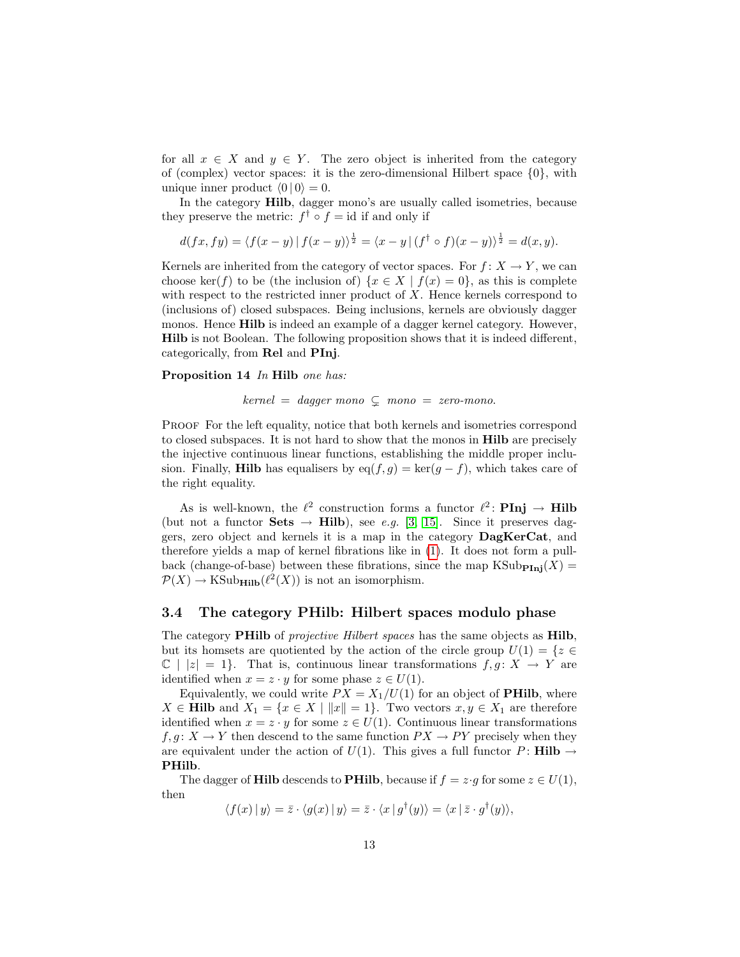for all  $x \in X$  and  $y \in Y$ . The zero object is inherited from the category of (complex) vector spaces: it is the zero-dimensional Hilbert space  $\{0\}$ , with unique inner product  $\langle 0 | 0 \rangle = 0$ .

In the category Hilb, dagger mono's are usually called isometries, because they preserve the metric:  $f^{\dagger} \circ f = id$  if and only if

$$
d(fx, fy) = \langle f(x - y) | f(x - y) \rangle^{\frac{1}{2}} = \langle x - y | (f^{\dagger} \circ f)(x - y) \rangle^{\frac{1}{2}} = d(x, y).
$$

Kernels are inherited from the category of vector spaces. For  $f: X \to Y$ , we can choose ker(f) to be (the inclusion of)  $\{x \in X \mid f(x) = 0\}$ , as this is complete with respect to the restricted inner product of  $X$ . Hence kernels correspond to (inclusions of) closed subspaces. Being inclusions, kernels are obviously dagger monos. Hence Hilb is indeed an example of a dagger kernel category. However, Hilb is not Boolean. The following proposition shows that it is indeed different, categorically, from Rel and PInj.

Proposition 14 In Hilb one has:

$$
kernel = dagger mono \subsetneq mono = zero-mono.
$$

PROOF For the left equality, notice that both kernels and isometries correspond to closed subspaces. It is not hard to show that the monos in Hilb are precisely the injective continuous linear functions, establishing the middle proper inclusion. Finally, **Hilb** has equalisers by  $eq(f, g) = \ker(g - f)$ , which takes care of the right equality.

As is well-known, the  $\ell^2$  construction forms a functor  $\ell^2$ : **PInj**  $\rightarrow$  **Hilb** (but not a functor Sets  $\rightarrow$  Hilb), see e.g. [\[3,](#page-32-4) [15\]](#page-33-6). Since it preserves daggers, zero object and kernels it is a map in the category DagKerCat, and therefore yields a map of kernel fibrations like in [\(1\)](#page-8-1). It does not form a pullback (change-of-base) between these fibrations, since the map  $\text{KSub}_{\text{Pini}}(X) =$  $\mathcal{P}(X) \to \text{KSub}_{\text{Hilb}}(\ell^2(X))$  is not an isomorphism.

#### 3.4 The category PHilb: Hilbert spaces modulo phase

The category **PHilb** of *projective Hilbert spaces* has the same objects as **Hilb**, but its homsets are quotiented by the action of the circle group  $U(1) = \{z \in$  $\mathbb{C}$  | |z| = 1}. That is, continuous linear transformations  $f, g: X \to Y$  are identified when  $x = z \cdot y$  for some phase  $z \in U(1)$ .

Equivalently, we could write  $PX = X_1/U(1)$  for an object of **PHilb**, where  $X \in \mathbf{Hilb}$  and  $X_1 = \{x \in X \mid ||x|| = 1\}$ . Two vectors  $x, y \in X_1$  are therefore identified when  $x = z \cdot y$  for some  $z \in U(1)$ . Continuous linear transformations  $f, g: X \to Y$  then descend to the same function  $PX \to PY$  precisely when they are equivalent under the action of  $U(1)$ . This gives a full functor P: **Hilb**  $\rightarrow$ PHilb.

The dagger of **Hilb** descends to **PHilb**, because if  $f = z \cdot g$  for some  $z \in U(1)$ , then

$$
\langle f(x) | y \rangle = \overline{z} \cdot \langle g(x) | y \rangle = \overline{z} \cdot \langle x | g^{\dagger}(y) \rangle = \langle x | \overline{z} \cdot g^{\dagger}(y) \rangle,
$$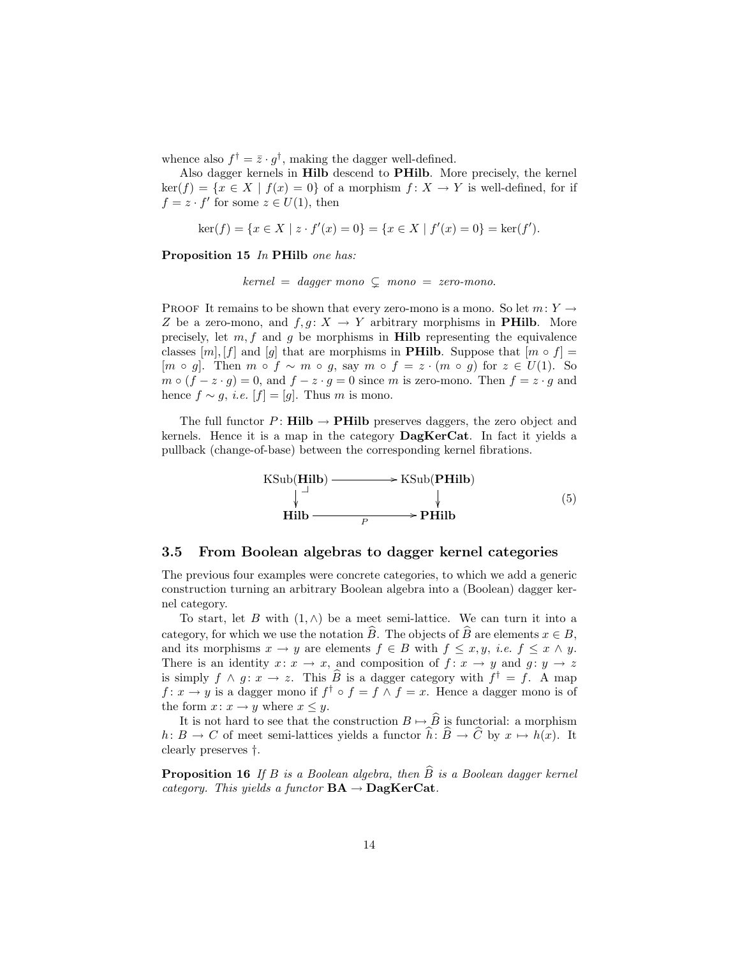whence also  $f^{\dagger} = \bar{z} \cdot g^{\dagger}$ , making the dagger well-defined.

Also dagger kernels in Hilb descend to PHilb. More precisely, the kernel  $\ker(f) = \{x \in X \mid f(x) = 0\}$  of a morphism  $f: X \to Y$  is well-defined, for if  $f = z \cdot f'$  for some  $z \in U(1)$ , then

$$
\ker(f) = \{ x \in X \mid z \cdot f'(x) = 0 \} = \{ x \in X \mid f'(x) = 0 \} = \ker(f').
$$

Proposition 15 In PHilb one has:

 $kernel = dagger mono \subsetneq mono = zero-mono.$ 

PROOF It remains to be shown that every zero-mono is a mono. So let  $m: Y \rightarrow$ Z be a zero-mono, and  $f, g: X \to Y$  arbitrary morphisms in **PHilb**. More precisely, let  $m, f$  and  $g$  be morphisms in **Hilb** representing the equivalence classes  $[m], [f]$  and  $[g]$  that are morphisms in **PHilb**. Suppose that  $[m \circ f] =$  $[m \circ g]$ . Then  $m \circ f \sim m \circ g$ , say  $m \circ f = z \cdot (m \circ g)$  for  $z \in U(1)$ . So  $m \circ (f - z \cdot g) = 0$ , and  $f - z \cdot g = 0$  since m is zero-mono. Then  $f = z \cdot g$  and hence  $f \sim g$ , *i.e.* [ $f$ ] = [g]. Thus m is mono.

The full functor P: **Hilb**  $\rightarrow$  **PHilb** preserves daggers, the zero object and kernels. Hence it is a map in the category DagKerCat. In fact it yields a pullback (change-of-base) between the corresponding kernel fibrations.



#### <span id="page-13-0"></span>3.5 From Boolean algebras to dagger kernel categories

The previous four examples were concrete categories, to which we add a generic construction turning an arbitrary Boolean algebra into a (Boolean) dagger kernel category.

To start, let B with  $(1, \wedge)$  be a meet semi-lattice. We can turn it into a category, for which we use the notation  $\hat{B}$ . The objects of  $\hat{B}$  are elements  $x \in B$ , and its morphisms  $x \to y$  are elements  $f \in B$  with  $f \leq x, y$ , *i.e.*  $f \leq x \land y$ . There is an identity  $x: x \to x$ , and composition of  $f: x \to y$  and  $g: y \to z$ is simply  $f \wedge g : x \to z$ . This  $\widehat{B}$  is a dagger category with  $f^{\dagger} = f$ . A map  $f: x \to y$  is a dagger mono if  $f^{\dagger} \circ f = f \wedge f = x$ . Hence a dagger mono is of the form  $x: x \to y$  where  $x \leq y$ .

It is not hard to see that the construction  $B \mapsto \widehat{B}$  is functorial: a morphism  $h: B \to C$  of meet semi-lattices yields a functor  $\hat{h}: \hat{B} \to \hat{C}$  by  $x \mapsto h(x)$ . It clearly preserves †.

<span id="page-13-1"></span>**Proposition 16** If B is a Boolean algebra, then  $\widehat{B}$  is a Boolean dagger kernel category. This yields a functor  $BA \rightarrow DagKerCat$ .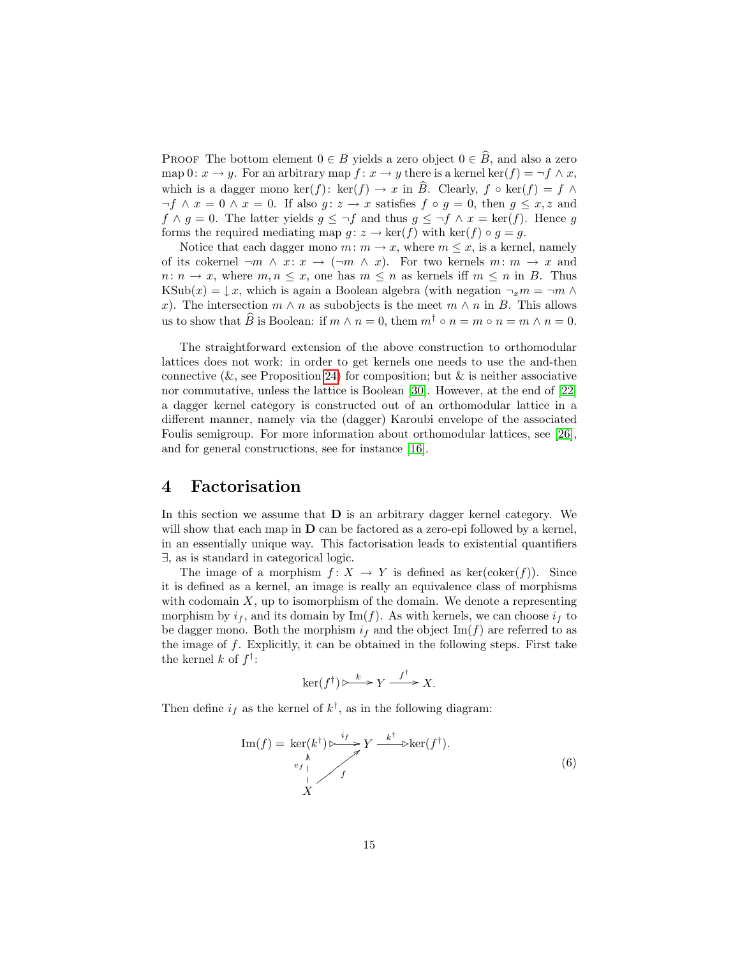PROOF The bottom element  $0 \in B$  yields a zero object  $0 \in \widehat{B}$ , and also a zero map 0:  $x \to y$ . For an arbitrary map  $f: x \to y$  there is a kernel ker(f) =  $\neg f \wedge x$ , which is a dagger mono ker(f): ker(f)  $\rightarrow x$  in  $\widehat{B}$ . Clearly,  $f \circ \text{ker}(f) = f \wedge \text{ker}(f)$  $\neg f \land x = 0 \land x = 0$ . If also  $g: z \to x$  satisfies  $f \circ g = 0$ , then  $g \leq x, z$  and  $f \wedge g = 0$ . The latter yields  $g \leq \neg f$  and thus  $g \leq \neg f \wedge x = \text{ker}(f)$ . Hence g forms the required mediating map  $g: z \to \text{ker}(f)$  with  $\text{ker}(f) \circ g = g$ .

Notice that each dagger mono  $m: m \to x$ , where  $m \leq x$ , is a kernel, namely of its cokernel  $\neg m \land x \colon x \to (\neg m \land x)$ . For two kernels  $m \colon m \to x$  and  $n: n \to x$ , where  $m, n \leq x$ , one has  $m \leq n$  as kernels iff  $m \leq n$  in B. Thus KSub $(x) = \downarrow x$ , which is again a Boolean algebra (with negation  $\neg_x m = \neg m \wedge$ x). The intersection  $m \wedge n$  as subobjects is the meet  $m \wedge n$  in B. This allows us to show that  $\widehat{B}$  is Boolean: if  $m \wedge n = 0$ , them  $m^{\dagger} \circ n = m \circ n = m \wedge n = 0$ .

The straightforward extension of the above construction to orthomodular lattices does not work: in order to get kernels one needs to use the and-then connective ( $\&$ , see Proposition [24\)](#page-21-1) for composition; but  $\&$  is neither associative nor commutative, unless the lattice is Boolean [\[30\]](#page-34-8). However, at the end of [\[22\]](#page-33-5) a dagger kernel category is constructed out of an orthomodular lattice in a different manner, namely via the (dagger) Karoubi envelope of the associated Foulis semigroup. For more information about orthomodular lattices, see [\[26\]](#page-34-6), and for general constructions, see for instance [\[16\]](#page-33-7).

### <span id="page-14-0"></span>4 Factorisation

In this section we assume that D is an arbitrary dagger kernel category. We will show that each map in  **can be factored as a zero-epi followed by a kernel,** in an essentially unique way. This factorisation leads to existential quantifiers ∃, as is standard in categorical logic.

The image of a morphism  $f: X \to Y$  is defined as ker(coker(f)). Since it is defined as a kernel, an image is really an equivalence class of morphisms with codomain  $X$ , up to isomorphism of the domain. We denote a representing morphism by  $i_f$ , and its domain by Im(f). As with kernels, we can choose  $i_f$  to be dagger mono. Both the morphism  $i_f$  and the object  $\text{Im}(f)$  are referred to as the image of  $f$ . Explicitly, it can be obtained in the following steps. First take the kernel  $k$  of  $f^{\dagger}$ :

$$
\ker(f^{\dagger}) \triangleright \xrightarrow{k} Y \xrightarrow{f^{\dagger}} X.
$$

Then define  $i_f$  as the kernel of  $k^{\dagger}$ , as in the following diagram:

<span id="page-14-1"></span>
$$
\operatorname{Im}(f) = \operatorname{ker}(k^{\dagger}) \triangleright \frac{\iota_{f}}{f} Y \xrightarrow{k^{\dagger}} \operatorname{ker}(f^{\dagger}).
$$
\n
$$
\downarrow
$$
\n
$$
\downarrow
$$
\n
$$
f
$$
\n(6)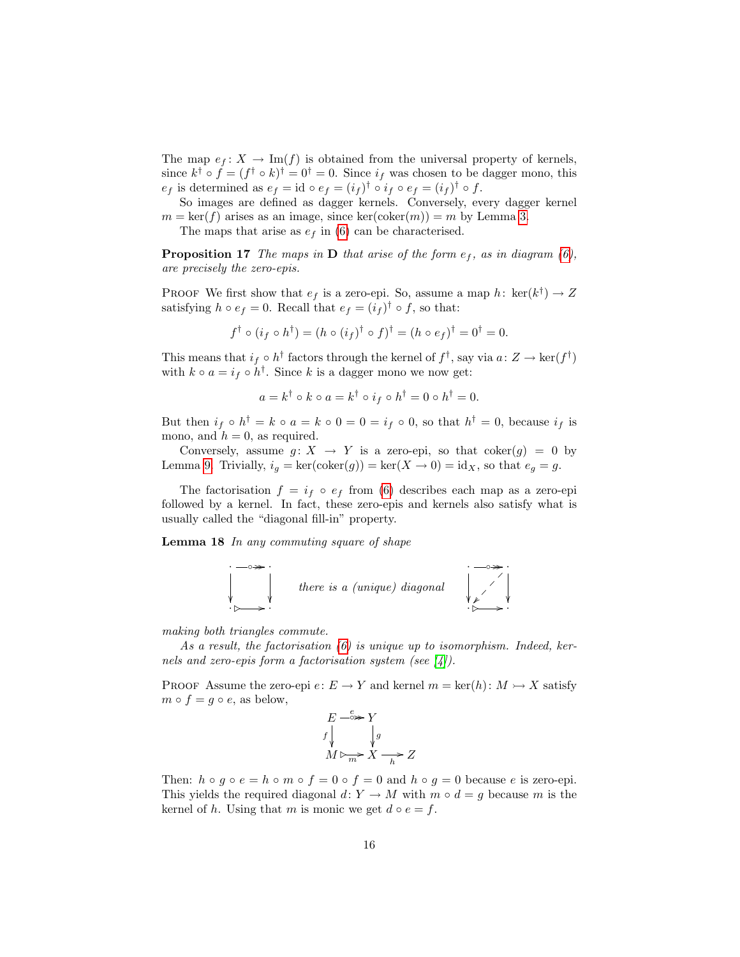The map  $e_f: X \to \text{Im}(f)$  is obtained from the universal property of kernels, since  $k^{\dagger} \circ f = (f^{\dagger} \circ k)^{\dagger} = 0^{\dagger} = 0$ . Since  $i_f$  was chosen to be dagger mono, this  $e_f$  is determined as  $e_f = id \circ e_f = (i_f)^\dagger \circ i_f \circ e_f = (i_f)^\dagger \circ f$ .

So images are defined as dagger kernels. Conversely, every dagger kernel  $m = \text{ker}(f)$  arises as an image, since  $\text{ker}(\text{coker}(m)) = m$  by Lemma [3.](#page-3-0)

The maps that arise as  $e_f$  in [\(6\)](#page-14-1) can be characterised.

<span id="page-15-0"></span>**Proposition 17** The maps in **D** that arise of the form  $e_f$ , as in diagram [\(6\)](#page-14-1), are precisely the zero-epis.

PROOF We first show that  $e_f$  is a zero-epi. So, assume a map  $h: \text{ ker}(k^{\dagger}) \to Z$ satisfying  $h \circ e_f = 0$ . Recall that  $e_f = (i_f)^\dagger \circ f$ , so that:

$$
f^{\dagger} \circ (i_f \circ h^{\dagger}) = (h \circ (i_f)^{\dagger} \circ f)^{\dagger} = (h \circ e_f)^{\dagger} = 0^{\dagger} = 0.
$$

This means that  $i_f \circ h^{\dagger}$  factors through the kernel of  $f^{\dagger}$ , say via  $a: Z \to \text{ker}(f^{\dagger})$ with  $k \circ a = i_f \circ h^{\dagger}$ . Since k is a dagger mono we now get:

$$
a = k^{\dagger} \circ k \circ a = k^{\dagger} \circ i_f \circ h^{\dagger} = 0 \circ h^{\dagger} = 0.
$$

But then  $i_f \circ h^{\dagger} = k \circ a = k \circ 0 = 0 = i_f \circ 0$ , so that  $h^{\dagger} = 0$ , because  $i_f$  is mono, and  $h = 0$ , as required.

Conversely, assume  $g: X \to Y$  is a zero-epi, so that coker $(g) = 0$  by Lemma [9.](#page-7-1) Trivially,  $i_g = \ker(\mathrm{coker}(g)) = \ker(X \to 0) = \mathrm{id}_X$ , so that  $e_g = g$ .

The factorisation  $f = i_f \circ e_f$  from [\(6\)](#page-14-1) describes each map as a zero-epi followed by a kernel. In fact, these zero-epis and kernels also satisfy what is usually called the "diagonal fill-in" property.

<span id="page-15-1"></span>Lemma 18 In any commuting square of shape



making both triangles commute.

As a result, the factorisation  $(6)$  is unique up to isomorphism. Indeed, kernels and zero-epis form a factorisation system (see  $\vert 4 \vert$ ).

PROOF Assume the zero-epi  $e: E \to Y$  and kernel  $m = \text{ker}(h): M \to X$  satisfy  $m \circ f = g \circ e$ , as below,

E ◦ <sup>e</sup> // f Y g M ,2 m /<sup>X</sup> <sup>h</sup> /Z

Then:  $h \circ g \circ e = h \circ m \circ f = 0 \circ f = 0$  and  $h \circ g = 0$  because e is zero-epi. This yields the required diagonal  $d: Y \to M$  with  $m \circ d = g$  because m is the kernel of h. Using that m is monic we get  $d \circ e = f$ .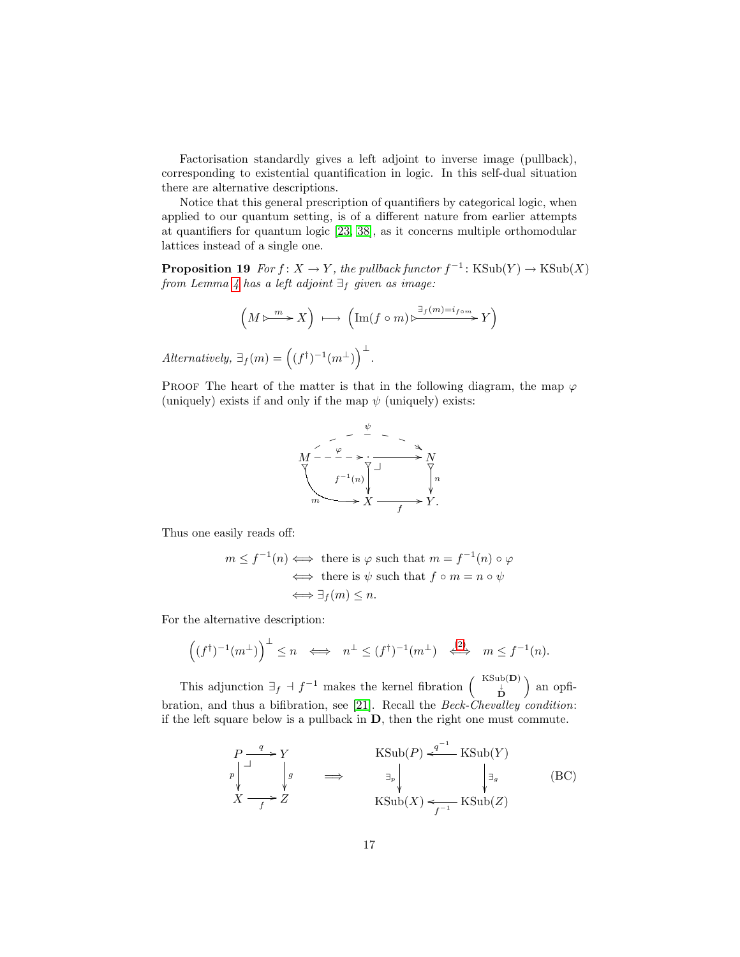Factorisation standardly gives a left adjoint to inverse image (pullback), corresponding to existential quantification in logic. In this self-dual situation there are alternative descriptions.

Notice that this general prescription of quantifiers by categorical logic, when applied to our quantum setting, is of a different nature from earlier attempts at quantifiers for quantum logic [\[23,](#page-33-8) [38\]](#page-34-9), as it concerns multiple orthomodular lattices instead of a single one.

<span id="page-16-0"></span>**Proposition 19** For  $f: X \to Y$ , the pullback functor  $f^{-1}: KSub(Y) \to KSub(X)$ from Lemma [4](#page-4-0) has a left adjoint  $\exists_f$  given as image:

$$
\left(M \triangleright \hspace{-0.2cm} \stackrel{m}{\longrightarrow} X \right) \ \longmapsto \ \left( \operatorname{Im}(f \circ m) \triangleright \hspace{-0.2cm} \stackrel{\exists_f(m)=i_{f \circ m}}{\longrightarrow} Y \right)
$$

Alternatively,  $\exists f(m) = ((f^{\dagger})^{-1}(m^{\perp}))^{\perp}$ .

PROOF The heart of the matter is that in the following diagram, the map  $\varphi$ (uniquely) exists if and only if the map  $\psi$  (uniquely) exists:



Thus one easily reads off:

$$
m \le f^{-1}(n) \iff \text{there is } \varphi \text{ such that } m = f^{-1}(n) \circ \varphi
$$
  

$$
\iff \text{there is } \psi \text{ such that } f \circ m = n \circ \psi
$$
  

$$
\iff \exists_f(m) \le n.
$$

For the alternative description:

$$
((f^{\dagger})^{-1}(m^{\perp})\Big)^{\perp} \leq n \iff n^{\perp} \leq (f^{\dagger})^{-1}(m^{\perp}) \iff m \leq f^{-1}(n).
$$

This adjunction  $\exists f \dashv f^{-1}$  makes the kernel fibration  $\begin{pmatrix} KSub(D) \\ B \end{pmatrix}$  an opfibration, and thus a bifibration, see [\[21\]](#page-33-0). Recall the Beck-Chevalley condition: if the left square below is a pullback in D, then the right one must commute.

<span id="page-16-1"></span>
$$
\begin{array}{ccc}\nP \xrightarrow{q} Y \\
\downarrow^{p} & \downarrow^{g} \\
X \longrightarrow Z & \text{KSub}(P) \xleftarrow{q^{-1}} \text{KSub}(Y) \\
X \longrightarrow Z & \text{KSub}(X) \xleftarrow{r^{-1}} \text{KSub}(Z)\n\end{array} \quad \text{(BC)}
$$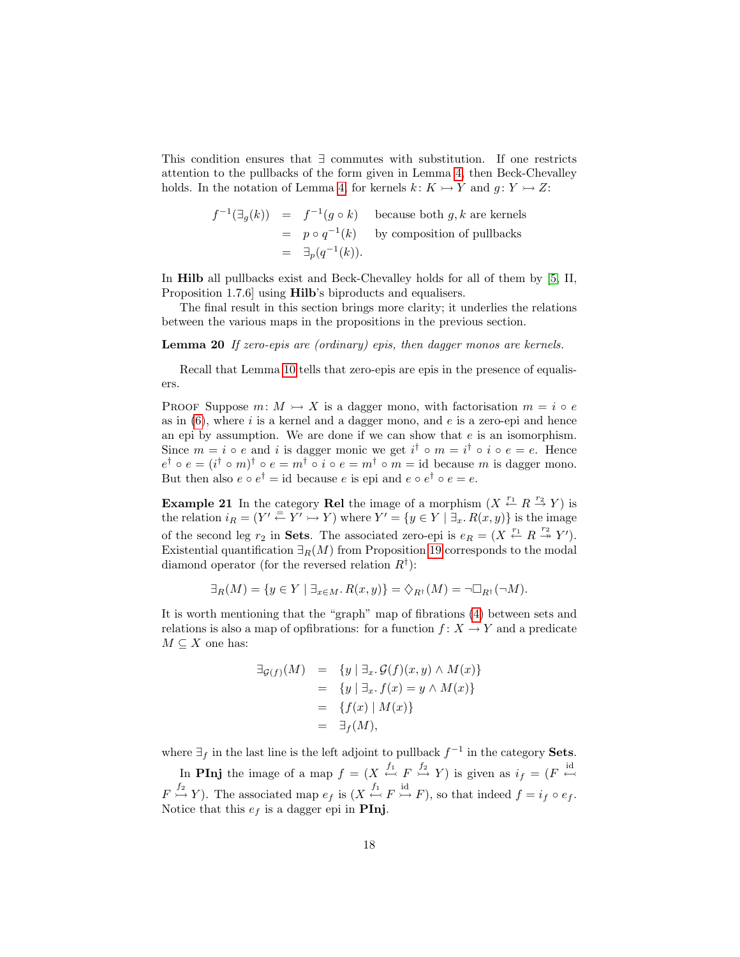This condition ensures that ∃ commutes with substitution. If one restricts attention to the pullbacks of the form given in Lemma [4,](#page-4-0) then Beck-Chevalley holds. In the notation of Lemma [4,](#page-4-0) for kernels  $k: K \rightarrow Y$  and  $q: Y \rightarrow Z$ :

$$
f^{-1}(\exists g(k)) = f^{-1}(g \circ k)
$$
 because both  $g, k$  are kernels  
=  $p \circ q^{-1}(k)$  by composition of pullbacks  
=  $\exists_p(q^{-1}(k)).$ 

In Hilb all pullbacks exist and Beck-Chevalley holds for all of them by [\[5,](#page-32-6) II, Proposition 1.7.6] using Hilb's biproducts and equalisers.

The final result in this section brings more clarity; it underlies the relations between the various maps in the propositions in the previous section.

Lemma 20 If zero-epis are (ordinary) epis, then dagger monos are kernels.

Recall that Lemma [10](#page-7-2) tells that zero-epis are epis in the presence of equalisers.

PROOF Suppose  $m: M \rightarrow X$  is a dagger mono, with factorisation  $m = i \circ e$ as in  $(6)$ , where i is a kernel and a dagger mono, and e is a zero-epi and hence an epi by assumption. We are done if we can show that  $e$  is an isomorphism. Since  $m = i \circ e$  and i is dagger monic we get  $i^{\dagger} \circ m = i^{\dagger} \circ i \circ e = e$ . Hence  $e^{\dagger} \circ e = (i^{\dagger} \circ m)^{\dagger} \circ e = m^{\dagger} \circ i \circ e = m^{\dagger} \circ m = \text{id}$  because m is dagger mono. But then also  $e \circ e^{\dagger} = id$  because  $e$  is epi and  $e \circ e^{\dagger} \circ e = e$ .

**Example 21** In the category **Rel** the image of a morphism  $(X \stackrel{r_1}{\leftarrow} R \stackrel{r_2}{\rightarrow} Y)$  is the relation  $i_R = (Y' \stackrel{=}{\leftarrow} Y' \stackrel{=}{\rightarrow} Y)$  where  $Y' = \{y \in Y \mid \exists_x R(x, y)\}\$  is the image of the second leg  $r_2$  in **Sets**. The associated zero-epi is  $e_R = (X \stackrel{r_1}{\leftarrow} R \stackrel{r_2}{\twoheadrightarrow} Y')$ . Existential quantification  $\exists_R(M)$  from Proposition [19](#page-16-0) corresponds to the modal diamond operator (for the reversed relation  $R^{\dagger}$ ):

$$
\exists_R(M) = \{ y \in Y \mid \exists_{x \in M} . R(x, y) \} = \Diamond_{R^{\dagger}}(M) = \neg \Box_{R^{\dagger}}(\neg M).
$$

It is worth mentioning that the "graph" map of fibrations [\(4\)](#page-10-0) between sets and relations is also a map of opfibrations: for a function  $f: X \to Y$  and a predicate  $M \subseteq X$  one has:

$$
\begin{array}{rcl}\n\exists g_{(f)}(M) & = & \{y \mid \exists_x. \mathcal{G}(f)(x, y) \land M(x)\} \\
& = & \{y \mid \exists_x. f(x) = y \land M(x)\} \\
& = & \{f(x) \mid M(x)\} \\
& = & \exists_f(M),\n\end{array}
$$

where  $\exists_f$  in the last line is the left adjoint to pullback  $f^{-1}$  in the category **Sets**.

In **PInj** the image of a map  $f = (X \stackrel{f_1}{\leftrightarrow} F \stackrel{f_2}{\rightarrow} Y)$  is given as  $i_f = (F \stackrel{id}{\leftrightarrow} F)$  $F \stackrel{f_2}{\rightarrowtail} Y$ ). The associated map  $e_f$  is  $(X \stackrel{f_1}{\leftarrowtail} F \stackrel{id}{\rightarrowtail} F)$ , so that indeed  $f = i_f \circ e_f$ . Notice that this  $e_f$  is a dagger epi in **PInj.**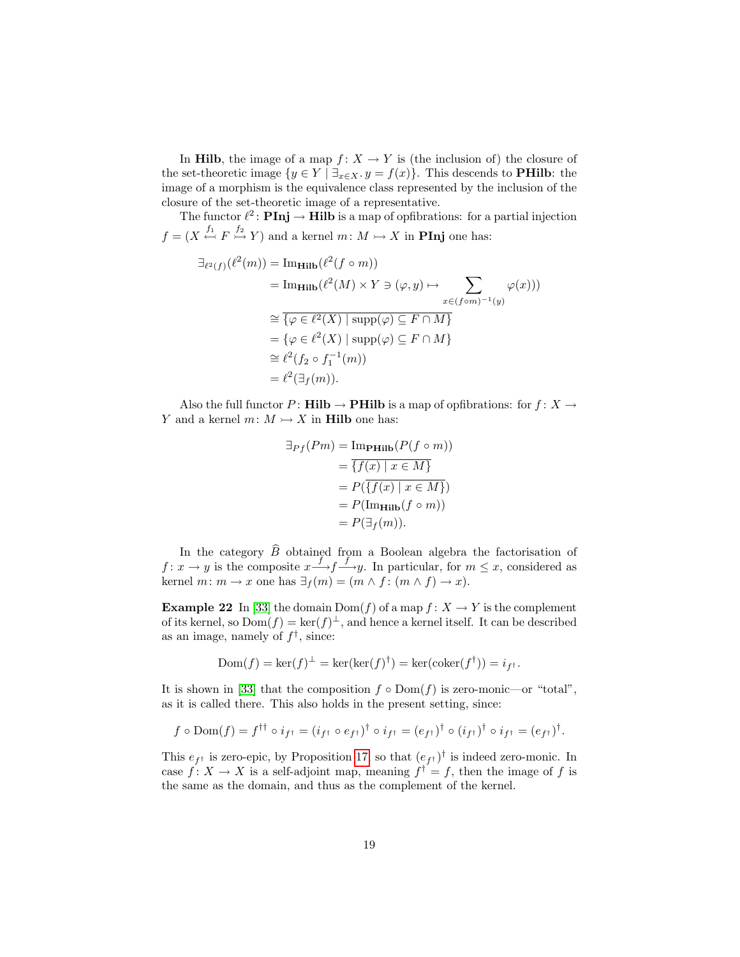In **Hilb**, the image of a map  $f: X \to Y$  is (the inclusion of) the closure of the set-theoretic image  $\{y \in Y \mid \exists_{x \in X} \ldotp y = f(x)\}\$ . This descends to **PHilb**: the image of a morphism is the equivalence class represented by the inclusion of the closure of the set-theoretic image of a representative.

The functor  $\ell^2$ : **PInj**  $\rightarrow$  **Hilb** is a map of opfibrations: for a partial injection  $f = (X \stackrel{f_1}{\leftarrow} F \stackrel{f_2}{\rightarrowtail} Y)$  and a kernel  $m: M \rightarrowtail X$  in **PInj** one has:

$$
\exists_{\ell^2(f)} (\ell^2(m)) = \text{Im}_{\mathbf{Hilb}} (\ell^2(f \circ m))
$$
\n
$$
= \text{Im}_{\mathbf{Hilb}} (\ell^2(M) \times Y \ni (\varphi, y) \mapsto \sum_{x \in (f \circ m)^{-1}(y)} \varphi(x)))
$$
\n
$$
\cong \overline{\{\varphi \in \ell^2(X) \mid \text{supp}(\varphi) \subseteq F \cap M\}}
$$
\n
$$
= \{\varphi \in \ell^2(X) \mid \text{supp}(\varphi) \subseteq F \cap M\}
$$
\n
$$
\cong \ell^2(f_2 \circ f_1^{-1}(m))
$$
\n
$$
= \ell^2(\exists_f(m)).
$$

Also the full functor P: **Hilb**  $\rightarrow$  **PHilb** is a map of opfibrations: for  $f: X \rightarrow$ Y and a kernel  $m: M \rightarrow X$  in **Hilb** one has:

$$
\exists_{Pf}(Pm) = \text{Im}_{\mathbf{P}\mathbf{Hilb}}(P(f \circ m))
$$

$$
= \overline{\{f(x) \mid x \in M\}}
$$

$$
= P(\overline{\{f(x) \mid x \in M\}})
$$

$$
= P(\text{Im}_{\mathbf{Hilb}}(f \circ m))
$$

$$
= P(\exists_{f}(m)).
$$

In the category  $\widehat{B}$  obtained from a Boolean algebra the factorisation of  $f: x \to y$  is the composite  $x \xrightarrow{f} f \xrightarrow{f} y$ . In particular, for  $m \leq x$ , considered as kernel  $m: m \to x$  one has  $\exists_f(m) = (m \land f: (m \land f) \to x)$ .

**Example 22** In [\[33\]](#page-34-10) the domain  $Dom(f)$  of a map  $f: X \to Y$  is the complement of its kernel, so  $Dom(f) = ker(f)^{\perp}$ , and hence a kernel itself. It can be described as an image, namely of  $f^{\dagger}$ , since:

$$
Dom(f) = \ker(f)^{\perp} = \ker(\ker(f)^{\dagger}) = \ker(\operatorname{coker}(f^{\dagger})) = i_{f^{\dagger}}.
$$

It is shown in [\[33\]](#page-34-10) that the composition  $f \circ Dom(f)$  is zero-monic—or "total", as it is called there. This also holds in the present setting, since:

$$
f \circ \text{Dom}(f) = f^{\dagger \dagger} \circ i_{f^{\dagger}} = (i_{f^{\dagger}} \circ e_{f^{\dagger}})^{\dagger} \circ i_{f^{\dagger}} = (e_{f^{\dagger}})^{\dagger} \circ (i_{f^{\dagger}})^{\dagger} \circ i_{f^{\dagger}} = (e_{f^{\dagger}})^{\dagger}.
$$

This  $e_{f^{\dagger}}$  is zero-epic, by Proposition [17,](#page-15-0) so that  $(e_{f^{\dagger}})^{\dagger}$  is indeed zero-monic. In case  $f: X \to X$  is a self-adjoint map, meaning  $f^{\dagger} = f$ , then the image of f is the same as the domain, and thus as the complement of the kernel.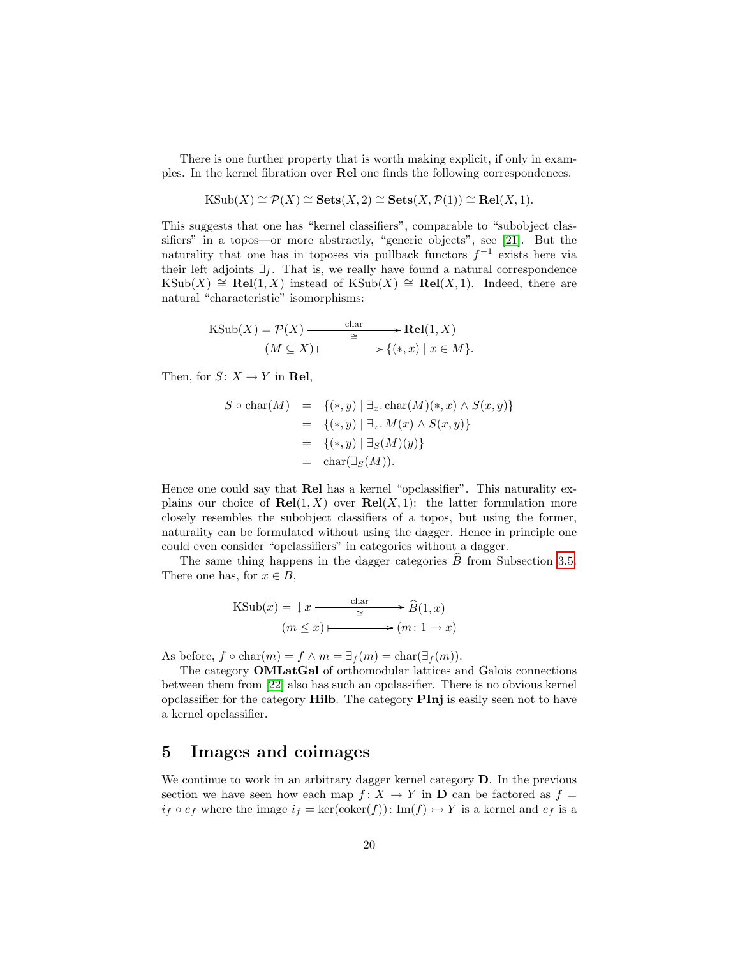There is one further property that is worth making explicit, if only in examples. In the kernel fibration over Rel one finds the following correspondences.

$$
KSub(X) \cong \mathcal{P}(X) \cong \mathbf{Sets}(X,2) \cong \mathbf{Sets}(X,\mathcal{P}(1)) \cong \mathbf{Rel}(X,1).
$$

This suggests that one has "kernel classifiers", comparable to "subobject classifiers" in a topos—or more abstractly, "generic objects", see [\[21\]](#page-33-0). But the naturality that one has in toposes via pullback functors  $f^{-1}$  exists here via their left adjoints  $\exists_f$ . That is, we really have found a natural correspondence KSub(X) ≅ Rel(1, X) instead of KSub(X) ≅ Rel(X, 1). Indeed, there are natural "characteristic" isomorphisms:

$$
\begin{aligned} \text{KSub}(X) &= \mathcal{P}(X) \xrightarrow{\text{char}} \text{Rel}(1, X) \\ (M \subseteq X) & \xrightarrow{\cong} \{(*, x) \mid x \in M\}. \end{aligned}
$$

Then, for  $S: X \to Y$  in **Rel**,

$$
S \circ \text{char}(M) = \{(*, y) \mid \exists_x \text{. char}(M)(*, x) \land S(x, y) \}
$$
  
=  $\{(*, y) \mid \exists_x \text{. } M(x) \land S(x, y) \}$   
=  $\{(*, y) \mid \exists_S(M)(y) \}$   
=  $\text{char}(\exists_S(M)).$ 

Hence one could say that Rel has a kernel "opclassifier". This naturality explains our choice of  $\text{Rel}(1, X)$  over  $\text{Rel}(X, 1)$ : the latter formulation more closely resembles the subobject classifiers of a topos, but using the former, naturality can be formulated without using the dagger. Hence in principle one could even consider "opclassifiers" in categories without a dagger.

The same thing happens in the dagger categories  $\tilde{B}$  from Subsection [3.5.](#page-13-0) There one has, for  $x \in B$ ,

$$
KSub(x) = \downarrow x \xrightarrow{\text{char}} \hat{B}(1, x)
$$

$$
(m \le x) \longmapsto (m: 1 \to x)
$$

As before,  $f \circ \text{char}(m) = f \wedge m = \exists_f(m) = \text{char}(\exists_f(m))$ .

The category OMLatGal of orthomodular lattices and Galois connections between them from [\[22\]](#page-33-5) also has such an opclassifier. There is no obvious kernel opclassifier for the category Hilb. The category PInj is easily seen not to have a kernel opclassifier.

## <span id="page-19-0"></span>5 Images and coimages

We continue to work in an arbitrary dagger kernel category D. In the previous section we have seen how each map  $f: X \to Y$  in **D** can be factored as  $f =$  $i_f \circ e_f$  where the image  $i_f = \ker(\text{coker}(f))$ : Im $(f) \rightarrow Y$  is a kernel and  $e_f$  is a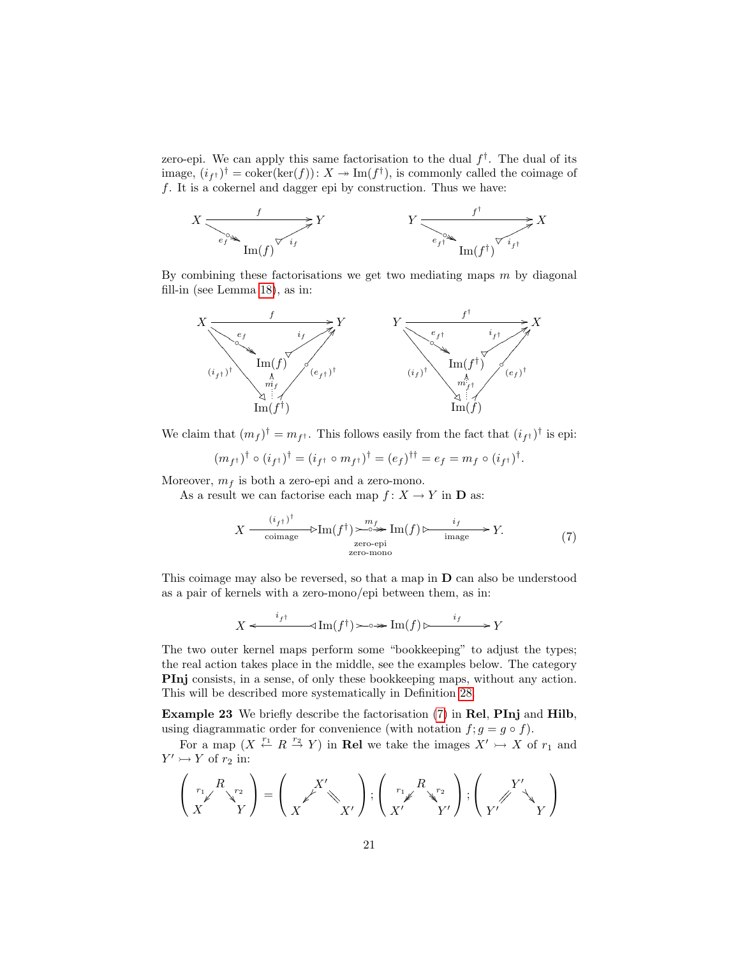zero-epi. We can apply this same factorisation to the dual  $f^{\dagger}$ . The dual of its image,  $(i_f)$ <sup>†</sup> = coker(ker(f)):  $X \to \text{Im}(f^{\dagger})$ , is commonly called the coimage of f. It is a cokernel and dagger epi by construction. Thus we have:



By combining these factorisations we get two mediating maps  $m$  by diagonal fill-in (see Lemma [18\)](#page-15-1), as in:



We claim that  $(m_f)^\dagger = m_{f^\dagger}$ . This follows easily from the fact that  $(i_{f^\dagger})^\dagger$  is epi:

$$
(m_{f^{\dagger}})^{\dagger} \circ (i_{f^{\dagger}})^{\dagger} = (i_{f^{\dagger}} \circ m_{f^{\dagger}})^{\dagger} = (e_{f})^{\dagger \dagger} = e_{f} = m_{f} \circ (i_{f^{\dagger}})^{\dagger}.
$$

Moreover,  $m_f$  is both a zero-epi and a zero-mono.

As a result we can factorise each map  $f: X \to Y$  in **D** as:

$$
X \xrightarrow{\quad (i_{f} \uparrow)^{\dagger}} \text{Lim}(f^{\dagger}) \xrightarrow{\quad m_{f} \text{Im}(f) \xrightarrow{\quad i_{f} \text{image}}} Y. \tag{7}
$$
\n
$$
\text{zero-epi} \text{zero-mono}
$$

This coimage may also be reversed, so that a map in D can also be understood as a pair of kernels with a zero-mono/epi between them, as in:

$$
X \xleftarrow{i_{f^{\dagger}}} \text{Im}(f^{\dagger}) \longrightarrow \text{Im}(f) \longmapsto \qquad \qquad i_{f} \qquad \qquad Y
$$

The two outer kernel maps perform some "bookkeeping" to adjust the types; the real action takes place in the middle, see the examples below. The category PInj consists, in a sense, of only these bookkeeping maps, without any action. This will be described more systematically in Definition [28.](#page-24-0)

<span id="page-20-0"></span>Example 23 We briefly describe the factorisation [\(7\)](#page-16-1) in Rel, PInj and Hilb, using diagrammatic order for convenience (with notation  $f; g = g \circ f$ ).

For a map  $(X \stackrel{r_1}{\leftarrow} R \stackrel{r_2}{\rightarrow} Y)$  in **Rel** we take the images  $X' \rightarrow X$  of  $r_1$  and  $Y' \rightarrowtail Y$  of  $r_2$  in:

$$
\left(\begin{array}{c}R\\r'\end{array}\begin{array}{c}Y'\\Y\end{array}\right)=\left(\begin{array}{c}X'\\\X'\end{array}\begin{array}{c}Y'\end{array}\begin{array}{c}X'\end{array}\begin{array}{c}X'\end{array}\begin{array}{c}Y'\end{array}\begin{array}{c}Y'\end{array}\begin{array}{c}Y'\end{array}\begin{array}{c}Y'\end{array}\begin{array}{c}Y'\end{array}\begin{array}{c}Y'\end{array}\begin{array}{c}Y'\end{array}\begin{array}{c}Y'\end{array}\begin{array}{c}Y'\end{array}\end{array}\begin{array}{c}Y'\end{array}\begin{array}{c}Y'\end{array}\begin{array}{c}Y'\end{array}\end{array}\begin{array}{c}Y'\end{array}\begin{array}{c}Y'\end{array}\begin{array}{c}Y'\end{array}\end{array}\begin{array}{c}Y'\end{array}\begin{array}{c}Y'\end{array}\begin{array}{c}Y'\end{array}\end{array}\begin{array}{c}Y'\end{array}\begin{array}\end{array}\begin{array}{c}Y'\end{array}\begin{array}{c}Y'\end{array}\begin{array}\end{array}\begin{array}{c}Y'\end{array}\begin{array}\end{array}\begin{array}{c}Y'\end{array}\begin{array}\end{array}\begin{array}{c}Y'\end{array}\end{array}\begin{array}\end{array}\begin{array}{c}Y'\end{array}\begin{array}\end{array}\begin{array}{c}Y'\end{array}\begin{array}\end{array}\begin{array}{c}Y'\end{array}\begin{array}\end{array}\begin{array}{c}Y'\end{array}\end{array}\begin{array}\end{array}\begin{array}{c}Y'\end{array}\end{array}\begin{array}\end{array}\begin{array}{c}Y'\end{array}\begin{array}\end{array}\begin{array}{c}Y'\end{array}\end{array}\begin{array}\end{array}\begin{array}\end{array}\begin{array}{c}Y'\end{array}\begin{array}\end{array}\begin{array}\end{array}\begin{array}\end{array}\begin{array}\end{array}\begin{array}{c}Y'\end{array}\end{array}\begin{array}\end{array}\begin{array}\end{array}\begin{array}\end{array}\begin{array}\end{array}\begin{array}\end{array}\begin{array}\end{array}\begin{array}\end{array}\begin{array}\end{array}\begin{array}\end{array}\end{array}\begin{array}\end{array}\begin{array}\end{array}\begin{array}\end{array}\begin{array}\
$$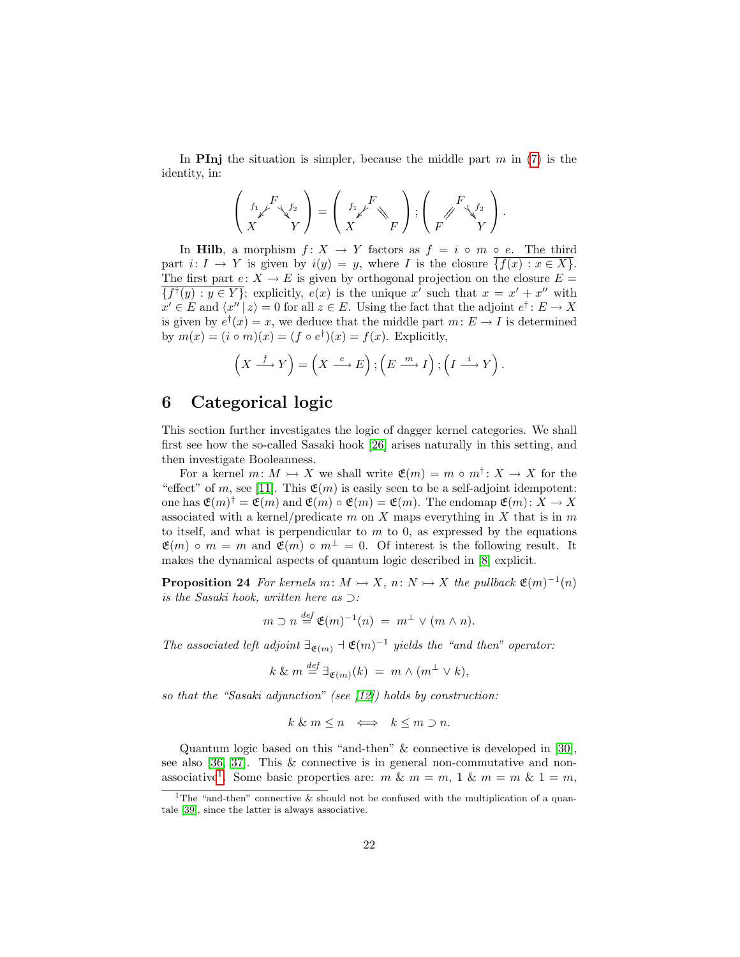In **PInj** the situation is simpler, because the middle part  $m$  in [\(7\)](#page-16-1) is the identity, in:

$$
\left(\begin{array}{c} {_{f_1}}_\not\smash{{\not F}}\searrow_{{f_2}} \cr X \end{array}\right)=\left(\begin{array}{c} {_{f_1}}_\not\smash{{\not F}} \cr X \end{array}\right),\left(\begin{array}{c} {_{f_1}}_\not\smash{{\not F}}\searrow_{{f_2}} \cr F \end{array}\right).
$$

In Hilb, a morphism  $f: X \to Y$  factors as  $f = i \circ m \circ e$ . The third part  $i: I \to Y$  is given by  $i(y) = y$ , where I is the closure  $\{f(x) : x \in X\}$ . The first part  $e: X \to E$  is given by orthogonal projection on the closure  $E =$  $\overline{\{f^{\dagger}(y) : y \in Y\}}$ ; explicitly,  $e(x)$  is the unique x' such that  $x = x' + x''$  with  $x' \in E$  and  $\langle x'' | z \rangle = 0$  for all  $z \in E$ . Using the fact that the adjoint  $e^{\dagger} : E \to X$ is given by  $e^{\dagger}(x) = x$ , we deduce that the middle part  $m: E \to I$  is determined by  $m(x) = (i \circ m)(x) = (f \circ e^{\dagger})(x) = f(x)$ . Explicitly,

$$
\left(X \xrightarrow{f} Y\right) = \left(X \xrightarrow{e} E\right); \left(E \xrightarrow{m} I\right); \left(I \xrightarrow{i} Y\right).
$$

### <span id="page-21-0"></span>6 Categorical logic

This section further investigates the logic of dagger kernel categories. We shall first see how the so-called Sasaki hook [\[26\]](#page-34-6) arises naturally in this setting, and then investigate Booleanness.

For a kernel  $m: M \rightarrow X$  we shall write  $\mathfrak{E}(m) = m \circ m^{\dagger}: X \rightarrow X$  for the "effect" of m, see [\[11\]](#page-33-9). This  $\mathfrak{E}(m)$  is easily seen to be a self-adjoint idempotent: one has  $\mathfrak{E}(m)^{\dagger} = \mathfrak{E}(m)$  and  $\mathfrak{E}(m) \circ \mathfrak{E}(m) = \mathfrak{E}(m)$ . The endomap  $\mathfrak{E}(m) \colon X \to X$ associated with a kernel/predicate  $m$  on  $X$  maps everything in  $X$  that is in  $m$ to itself, and what is perpendicular to  $m$  to 0, as expressed by the equations  $\mathfrak{E}(m) \circ m = m$  and  $\mathfrak{E}(m) \circ m^{\perp} = 0$ . Of interest is the following result. It makes the dynamical aspects of quantum logic described in [\[8\]](#page-32-7) explicit.

<span id="page-21-1"></span>**Proposition 24** For kernels  $m: M \rightarrow X$ ,  $n: N \rightarrow X$  the pullback  $\mathfrak{E}(m)^{-1}(n)$ is the Sasaki hook, written here as ⊃:

$$
m \supset n \stackrel{def}{=} \mathfrak{E}(m)^{-1}(n) = m^{\perp} \vee (m \wedge n).
$$

The associated left adjoint  $\exists_{\mathfrak{E}(m)} \neg \mathfrak{E}(m)^{-1}$  yields the "and then" operator:

$$
k \& m \stackrel{def}{=} \exists_{\mathfrak{E}(m)}(k) = m \wedge (m^{\perp} \vee k),
$$

so that the "Sasaki adjunction" (see  $(12)$ ) holds by construction:

$$
k \& m \leq n \iff k \leq m \supset n.
$$

Quantum logic based on this "and-then" & connective is developed in [\[30\]](#page-34-8), see also [\[36,](#page-34-11) [37\]](#page-34-12). This & connective is in general non-commutative and non-associative<sup>[1](#page-21-2)</sup>. Some basic properties are: m &  $m = m$ , 1 &  $m = m$  & 1 = m,

<span id="page-21-2"></span><sup>&</sup>lt;sup>1</sup>The "and-then" connective & should not be confused with the multiplication of a quantale [\[39\]](#page-34-13), since the latter is always associative.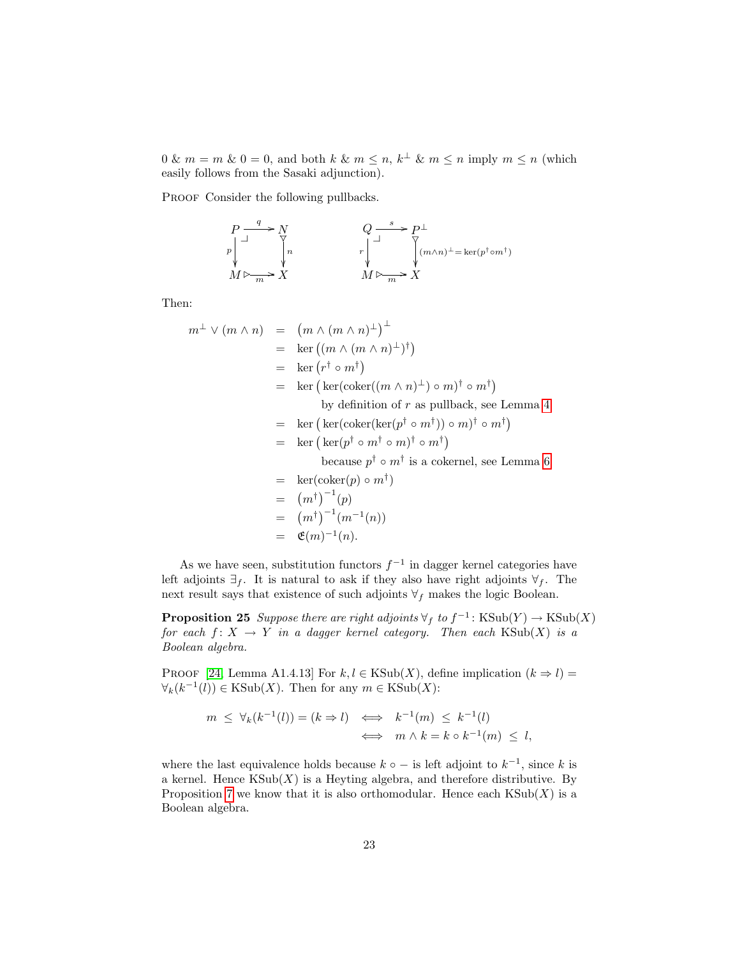$0 \& m = m \& 0 = 0$ , and both  $k \& m \leq n, k^{\perp} \& m \leq n$  imply  $m \leq n$  (which easily follows from the Sasaki adjunction).

PROOF Consider the following pullbacks.

$$
\begin{array}{ccc}\nP & \xrightarrow{q} & N & Q \xrightarrow{s} & P^{\perp} \\
p & \downarrow & \searrow & \searrow & \searrow & \searrow & \searrow \\
M \rhd \xrightarrow{m} & X & & M \rhd \xrightarrow{m} & X\n\end{array}
$$

Then:

$$
m^{\perp} \vee (m \wedge n) = (m \wedge (m \wedge n)^{\perp})^{\perp}
$$
  
\n
$$
= \ker ((m \wedge (m \wedge n)^{\perp})^{\dagger})
$$
  
\n
$$
= \ker (r^{\dagger} \circ m^{\dagger})
$$
  
\n
$$
= \ker (\ker(\operatorname{coker}((m \wedge n)^{\perp}) \circ m)^{\dagger} \circ m^{\dagger})
$$
  
\nby definition of  $r$  as pullback, see Lemma 4  
\n
$$
= \ker (\ker(\operatorname{coker}(\ker(p^{\dagger} \circ m^{\dagger})) \circ m)^{\dagger} \circ m^{\dagger})
$$
  
\n
$$
= \ker (\ker(p^{\dagger} \circ m^{\dagger} \circ m)^{\dagger} \circ m^{\dagger})
$$
  
\nbecause  $p^{\dagger} \circ m^{\dagger}$  is a cokernel, see Lemma 6  
\n
$$
= \ker(\operatorname{coker}(p) \circ m^{\dagger})
$$
  
\n
$$
= (m^{\dagger})^{-1}(p)
$$
  
\n
$$
= (m^{\dagger})^{-1}(m^{-1}(n))
$$
  
\n
$$
= \mathfrak{E}(m)^{-1}(n).
$$

As we have seen, substitution functors  $f^{-1}$  in dagger kernel categories have left adjoints  $\exists_f$ . It is natural to ask if they also have right adjoints  $\forall_f$ . The next result says that existence of such adjoints  $\forall_f$  makes the logic Boolean.

**Proposition 25** Suppose there are right adjoints  $\forall f$  to  $f^{-1}$ : KSub $(Y) \rightarrow$ KSub $(X)$ for each  $f: X \to Y$  in a dagger kernel category. Then each  $\text{KSub}(X)$  is a Boolean algebra.

PROOF [\[24,](#page-33-11) Lemma A1.4.13] For  $k, l \in KSub(X)$ , define implication  $(k \Rightarrow l)$  =  $\forall_k (k^{-1}(l)) \in \text{KSub}(X)$ . Then for any  $m \in \text{KSub}(X)$ :

$$
m \leq \forall_k (k^{-1}(l)) = (k \Rightarrow l) \iff k^{-1}(m) \leq k^{-1}(l)
$$
  

$$
\iff m \land k = k \circ k^{-1}(m) \leq l,
$$

where the last equivalence holds because  $k \circ -$  is left adjoint to  $k^{-1}$ , since k is a kernel. Hence  $\text{KSub}(X)$  is a Heyting algebra, and therefore distributive. By Proposition [7](#page-6-0) we know that it is also orthomodular. Hence each  $KSub(X)$  is a Boolean algebra.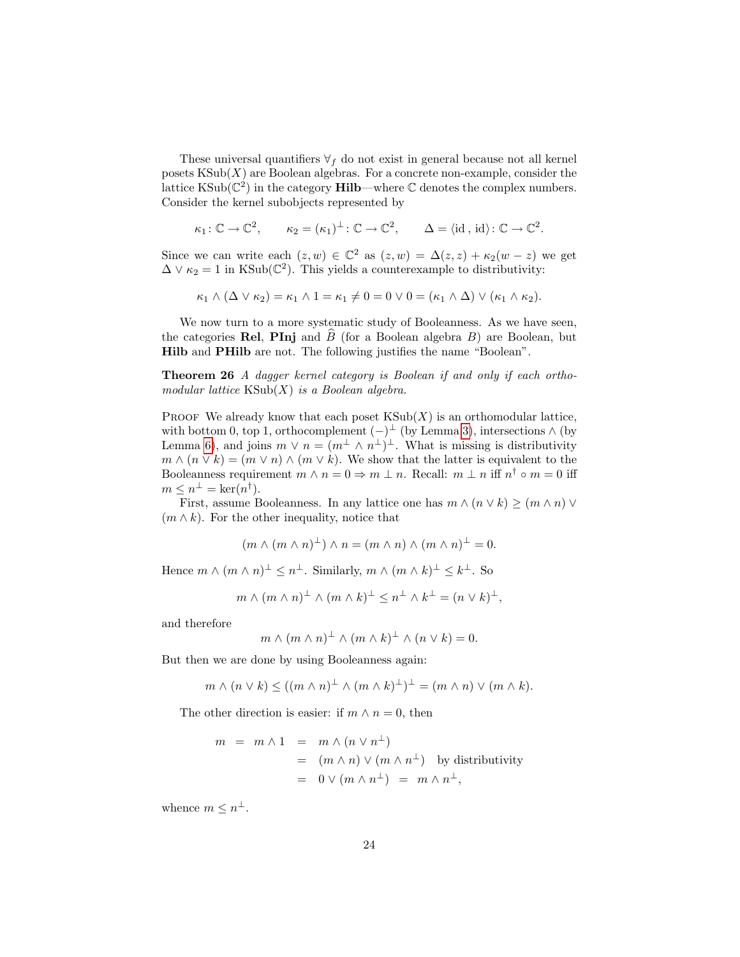These universal quantifiers  $\forall f$  do not exist in general because not all kernel posets  $\text{KSub}(X)$  are Boolean algebras. For a concrete non-example, consider the lattice  $\text{KSub}(\mathbb{C}^2)$  in the category **Hilb**—where  $\mathbb C$  denotes the complex numbers. Consider the kernel subobjects represented by

$$
\kappa_1: \mathbb{C} \to \mathbb{C}^2
$$
,  $\kappa_2 = (\kappa_1)^{\perp}: \mathbb{C} \to \mathbb{C}^2$ ,  $\Delta = \langle id, id \rangle: \mathbb{C} \to \mathbb{C}^2$ .

Since we can write each  $(z, w) \in \mathbb{C}^2$  as  $(z, w) = \Delta(z, z) + \kappa_2(w - z)$  we get  $\Delta \vee \kappa_2 = 1$  in KSub( $\mathbb{C}^2$ ). This yields a counterexample to distributivity:

$$
\kappa_1 \wedge (\Delta \vee \kappa_2) = \kappa_1 \wedge 1 = \kappa_1 \neq 0 = 0 \vee 0 = (\kappa_1 \wedge \Delta) \vee (\kappa_1 \wedge \kappa_2).
$$

We now turn to a more systematic study of Booleanness. As we have seen, the categories Rel, PInj and  $\overline{B}$  (for a Boolean algebra  $B$ ) are Boolean, but Hilb and PHilb are not. The following justifies the name "Boolean".

<span id="page-23-0"></span>Theorem 26 A dagger kernel category is Boolean if and only if each orthomodular lattice  $\text{KSub}(X)$  is a Boolean algebra.

PROOF We already know that each poset  $KSub(X)$  is an orthomodular lattice, with bottom 0, top 1, orthocomplement  $(-)^\perp$  (by Lemma [3\)](#page-3-0), intersections  $\wedge$  (by Lemma [6\)](#page-5-1), and joins  $m \vee n = (m^{\perp} \wedge n^{\perp})^{\perp}$ . What is missing is distributivity  $m \wedge (n \vee k) = (m \vee n) \wedge (m \vee k)$ . We show that the latter is equivalent to the Booleanness requirement  $m \wedge n = 0 \Rightarrow m \perp n$ . Recall:  $m \perp n$  iff  $n^{\dagger} \circ m = 0$  iff  $m \leq n^{\perp} = \ker(n^{\dagger}).$ 

First, assume Booleanness. In any lattice one has  $m \wedge (n \vee k) \geq (m \wedge n) \vee$  $(m \wedge k)$ . For the other inequality, notice that

$$
(m \wedge (m \wedge n)^{\perp}) \wedge n = (m \wedge n) \wedge (m \wedge n)^{\perp} = 0.
$$

Hence  $m \wedge (m \wedge n)^{\perp} \leq n^{\perp}$ . Similarly,  $m \wedge (m \wedge k)^{\perp} \leq k^{\perp}$ . So

$$
m \wedge (m \wedge n)^{\perp} \wedge (m \wedge k)^{\perp} \leq n^{\perp} \wedge k^{\perp} = (n \vee k)^{\perp},
$$

and therefore

$$
m \wedge (m \wedge n)^{\perp} \wedge (m \wedge k)^{\perp} \wedge (n \vee k) = 0.
$$

But then we are done by using Booleanness again:

$$
m \wedge (n \vee k) \le ((m \wedge n)^{\perp} \wedge (m \wedge k)^{\perp})^{\perp} = (m \wedge n) \vee (m \wedge k).
$$

The other direction is easier: if  $m \wedge n = 0$ , then

$$
m = m \wedge 1 = m \wedge (n \vee n^{\perp})
$$
  
=  $(m \wedge n) \vee (m \wedge n^{\perp})$  by distributivity  
=  $0 \vee (m \wedge n^{\perp}) = m \wedge n^{\perp},$ 

whence  $m \leq n^{\perp}$ .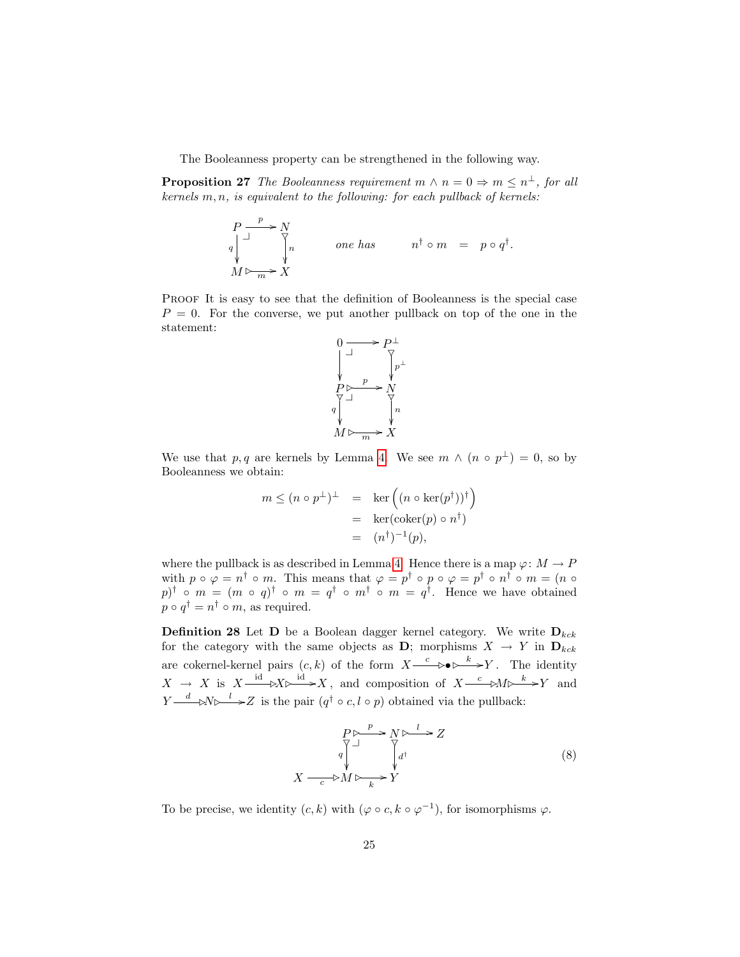The Booleanness property can be strengthened in the following way.

<span id="page-24-1"></span>**Proposition 27** The Booleanness requirement  $m \wedge n = 0 \Rightarrow m \leq n^{\perp}$ , for all kernels  $m, n$ , is equivalent to the following: for each pullback of kernels:

$$
\begin{array}{ccc}\nP & \xrightarrow{p} & N \\
q & \downarrow & \searrow & \\
M \rhd \xrightarrow{m} & X\n\end{array}\n\quad\n\text{one has} \quad\n\begin{array}{ccc}\nn^{\dagger} \circ m & = & p \circ q^{\dagger}.\n\end{array}
$$

PROOF It is easy to see that the definition of Booleanness is the special case  $P = 0$ . For the converse, we put another pullback on top of the one in the statement:



We use that p, q are kernels by Lemma [4.](#page-4-0) We see  $m \wedge (n \circ p^{\perp}) = 0$ , so by Booleanness we obtain:

$$
m \le (n \circ p^{\perp})^{\perp} = \ker ((n \circ \ker(p^{\dagger}))^{\dagger})
$$
  
=  $\ker(\operatorname{coker}(p) \circ n^{\dagger})$   
=  $(n^{\dagger})^{-1}(p),$ 

where the pullback is as described in Lemma [4.](#page-4-0) Hence there is a map  $\varphi: M \to P$ with  $p \circ \varphi = n^{\dagger} \circ m$ . This means that  $\varphi = p^{\dagger} \circ p \circ \varphi = p^{\dagger} \circ n^{\dagger} \circ m = (n \circ \varphi)$  $p$ <sup>†</sup> •  $m = (m \circ q)^{\dagger} \circ m = q^{\dagger} \circ m^{\dagger} \circ m = q^{\dagger}$ . Hence we have obtained  $p \circ q^{\dagger} = n^{\dagger} \circ m$ , as required.

<span id="page-24-0"></span>**Definition 28** Let **D** be a Boolean dagger kernel category. We write  $D_{kck}$ for the category with the same objects as D; morphisms  $X \rightarrow Y$  in  $D_{kck}$ are cokernel-kernel pairs  $(c, k)$  of the form  $X \xrightarrow{c} \rightarrow \rightarrow Y$ . The identity  $X \to X$  is  $X \xrightarrow{\text{id}} X \rightarrow X$ , and composition of  $X \xrightarrow{c} M \rightarrow X$  and  $Y \xrightarrow{d} \mathbb{R} \rightarrow Z$  is the pair  $(q^{\dagger} \circ c, l \circ p)$  obtained via the pullback:

<span id="page-24-2"></span>
$$
P \rightarrow \mathbb{R} \rightarrow Z
$$
\n
$$
X \rightarrow \mathbb{R} \rightarrow \mathbb{R} \rightarrow \mathbb{R} \rightarrow Z
$$
\n
$$
X \rightarrow \mathbb{R} \rightarrow \mathbb{R} \rightarrow Y
$$
\n
$$
(8)
$$

To be precise, we identity  $(c, k)$  with  $(\varphi \circ c, k \circ \varphi^{-1})$ , for isomorphisms  $\varphi$ .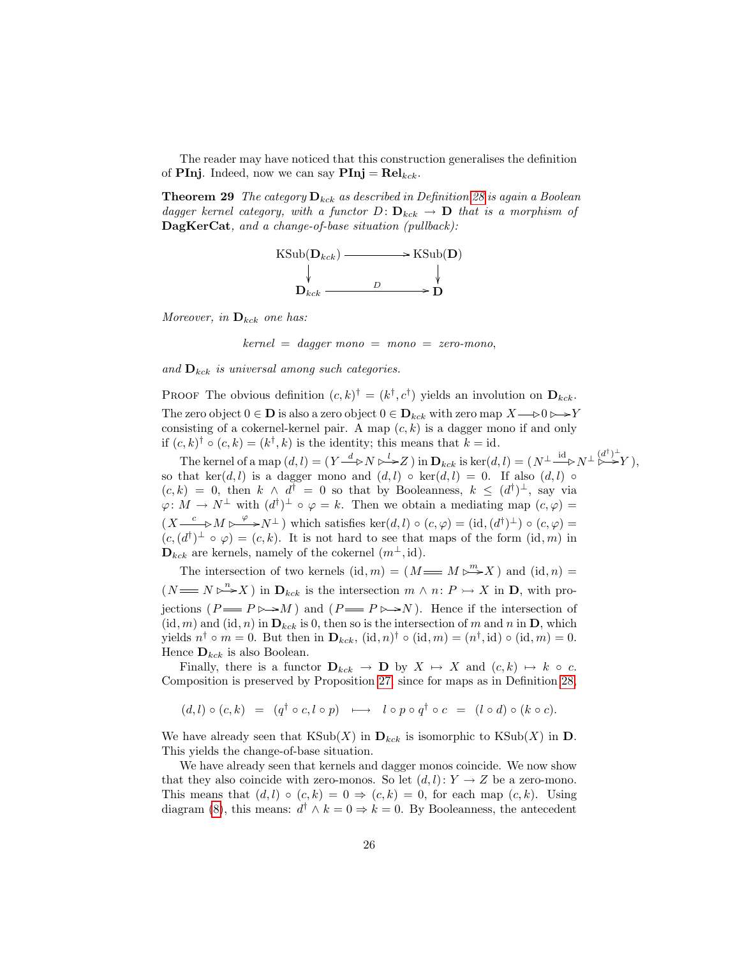The reader may have noticed that this construction generalises the definition of **PInj**. Indeed, now we can say  $\text{Pin}j = \text{Rel}_{kck}$ .

**Theorem 29** The category  $D_{kck}$  as described in Definition [28](#page-24-0) is again a Boolean dagger kernel category, with a functor  $D: \mathbf{D}_{kck} \to \mathbf{D}$  that is a morphism of DagKerCat, and a change-of-base situation (pullback):



Moreover, in  $\mathbf{D}_{kck}$  one has:

 $kernel = dagger mono = mono = zero-mono,$ 

and  $\mathbf{D}_{kck}$  is universal among such categories.

PROOF The obvious definition  $(c, k)^{\dagger} = (k^{\dagger}, c^{\dagger})$  yields an involution on  $\mathbf{D}_{kck}$ . The zero object  $0 \in \mathbf{D}$  is also a zero object  $0 \in \mathbf{D}_{kck}$  with zero map  $X \rightarrow 0 \rightarrow Y$ consisting of a cokernel-kernel pair. A map  $(c, k)$  is a dagger mono if and only if  $(c, k)$ <sup> $\dagger$ </sup>  $\circ$   $(c, k) = (k^{\dagger}, k)$  is the identity; this means that  $k = id$ .

The kernel of a map  $(d, l) = (Y \xrightarrow{d} N \rightarrow Z)$  in  $\mathbf{D}_{kck}$  is ker $(d, l) = (N^{\perp} \xrightarrow{\text{id}} N^{\perp} \xrightarrow{(d^{\dagger})^{\perp}} Y)$ , so that ker $(d, l)$  is a dagger mono and  $(d, l) \circ \text{ker}(d, l) = 0$ . If also  $(d, l) \circ$  $(c, k) = 0$ , then  $k \wedge d^{\dagger} = 0$  so that by Booleanness,  $k \leq (d^{\dagger})^{\perp}$ , say via  $\varphi: M \to N^{\perp}$  with  $(d^{\dagger})^{\perp} \circ \varphi = k$ . Then we obtain a mediating map  $(c, \varphi)$  $(X \xrightarrow{c} M \rightarrow^{\varphi} N^{\perp})$  which satisfies  $\ker(d, l) \circ (c, \varphi) = (\mathrm{id}, (d^{\dagger})^{\perp}) \circ (c, \varphi) =$  $(c, (d^{\dagger})^{\perp} \circ \varphi) = (c, k)$ . It is not hard to see that maps of the form  $(id, m)$  in  $\mathbf{D}_{kck}$  are kernels, namely of the cokernel  $(m^{\perp}, id)$ .

The intersection of two kernels  $(id, m) = (M \longrightarrow M \rightarrow N)$  and  $(id, n) =$  $(N \longrightarrow N \rightarrow X)$  in  $\mathbf{D}_{kck}$  is the intersection  $m \wedge n: P \rightarrow X$  in  $\mathbf{D}$ , with projections  $(P \longrightarrow P \rightarrow M)$  and  $(P \longrightarrow P \rightarrow N)$ . Hence if the intersection of  $(id, m)$  and  $(id, n)$  in  $D_{kck}$  is 0, then so is the intersection of m and n in D, which yields  $n^{\dagger} \circ m = 0$ . But then in  $\mathbf{D}_{kck}$ ,  $(id, n)^{\dagger} \circ (id, m) = (n^{\dagger}, id) \circ (id, m) = 0$ . Hence  $\mathbf{D}_{kck}$  is also Boolean.

Finally, there is a functor  $D_{kck} \rightarrow D$  by  $X \mapsto X$  and  $(c, k) \mapsto k \circ c$ . Composition is preserved by Proposition [27,](#page-24-1) since for maps as in Definition [28,](#page-24-0)

$$
(d,l)\circ (c,k)\ =\ (q^{\dag} \circ c, l\circ p)\ \longmapsto\ l\circ p\circ q^{\dag} \circ c\ =\ (l\circ d)\circ (k\circ c).
$$

We have already seen that  $\text{KSub}(X)$  in  $\mathbf{D}_{kck}$  is isomorphic to  $\text{KSub}(X)$  in  $\mathbf{D}$ . This yields the change-of-base situation.

We have already seen that kernels and dagger monos coincide. We now show that they also coincide with zero-monos. So let  $(d, l): Y \to Z$  be a zero-mono. This means that  $(d, l) \circ (c, k) = 0 \Rightarrow (c, k) = 0$ , for each map  $(c, k)$ . Using diagram [\(8\)](#page-24-2), this means:  $d^{\dagger} \wedge k = 0 \Rightarrow k = 0$ . By Booleanness, the antecedent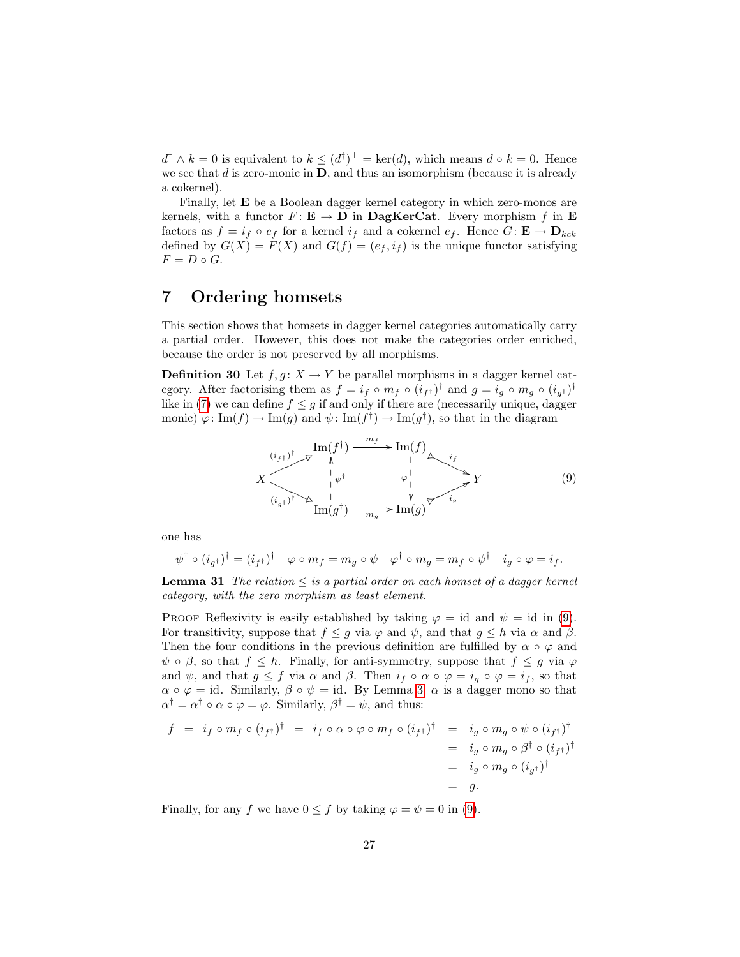$d^{\dagger} \wedge k = 0$  is equivalent to  $k \leq (d^{\dagger})^{\perp} = \text{ker}(d)$ , which means  $d \circ k = 0$ . Hence we see that  $d$  is zero-monic in  $\mathbf{D}$ , and thus an isomorphism (because it is already a cokernel).

Finally, let E be a Boolean dagger kernel category in which zero-monos are kernels, with a functor  $F: \mathbf{E} \to \mathbf{D}$  in  $\mathbf{DagKerCat}$ . Every morphism f in  $\mathbf{E}$ factors as  $f = i_f \circ e_f$  for a kernel  $i_f$  and a cokernel  $e_f$ . Hence  $G: \mathbf{E} \to \mathbf{D}_{kck}$ defined by  $G(X) = F(X)$  and  $G(f) = (e_f, i_f)$  is the unique functor satisfying  $F = D \circ G.$ 

## <span id="page-26-0"></span>7 Ordering homsets

This section shows that homsets in dagger kernel categories automatically carry a partial order. However, this does not make the categories order enriched, because the order is not preserved by all morphisms.

<span id="page-26-2"></span>**Definition 30** Let  $f, g: X \to Y$  be parallel morphisms in a dagger kernel category. After factorising them as  $f = i_f \circ m_f \circ (i_{f^{\dagger}})^{\dagger}$  and  $g = i_g \circ m_g \circ (i_{g^{\dagger}})^{\dagger}$ like in [\(7\)](#page-16-1) we can define  $f \leq g$  if and only if there are (necessarily unique, dagger monic)  $\varphi: \text{Im}(f) \to \text{Im}(g)$  and  $\psi: \text{Im}(f^{\dagger}) \to \text{Im}(g^{\dagger}),$  so that in the diagram

<span id="page-26-1"></span>

one has

$$
\psi^{\dagger} \circ (i_{g^{\dagger}})^{\dagger} = (i_{f^{\dagger}})^{\dagger} \quad \varphi \circ m_f = m_g \circ \psi \quad \varphi^{\dagger} \circ m_g = m_f \circ \psi^{\dagger} \quad i_g \circ \varphi = i_f.
$$

**Lemma 31** The relation  $\leq$  is a partial order on each homset of a dagger kernel category, with the zero morphism as least element.

PROOF Reflexivity is easily established by taking  $\varphi = id$  and  $\psi = id$  in [\(9\)](#page-26-1). For transitivity, suppose that  $f \leq g$  via  $\varphi$  and  $\psi$ , and that  $g \leq h$  via  $\alpha$  and  $\beta$ . Then the four conditions in the previous definition are fulfilled by  $\alpha \circ \varphi$  and  $\psi \circ \beta$ , so that  $f \leq h$ . Finally, for anti-symmetry, suppose that  $f \leq g$  via  $\varphi$ and  $\psi$ , and that  $g \leq f$  via  $\alpha$  and  $\beta$ . Then  $i_f \circ \alpha \circ \varphi = i_g \circ \varphi = i_f$ , so that  $\alpha \circ \varphi = id$ . Similarly,  $\beta \circ \psi = id$ . By Lemma [3,](#page-3-0)  $\alpha$  is a dagger mono so that  $\alpha^{\dagger} = \alpha^{\dagger} \circ \alpha \circ \varphi = \varphi$ . Similarly,  $\beta^{\dagger} = \psi$ , and thus:

$$
f = i_f \circ m_f \circ (i_{f^{\dagger}})^{\dagger} = i_f \circ \alpha \circ \varphi \circ m_f \circ (i_{f^{\dagger}})^{\dagger} = i_g \circ m_g \circ \psi \circ (i_{f^{\dagger}})^{\dagger}
$$
  
=  $i_g \circ m_g \circ \beta^{\dagger} \circ (i_{f^{\dagger}})^{\dagger}$   
=  $i_g \circ m_g \circ (i_{g^{\dagger}})^{\dagger}$   
= g.

Finally, for any f we have  $0 \leq f$  by taking  $\varphi = \psi = 0$  in [\(9\)](#page-26-1).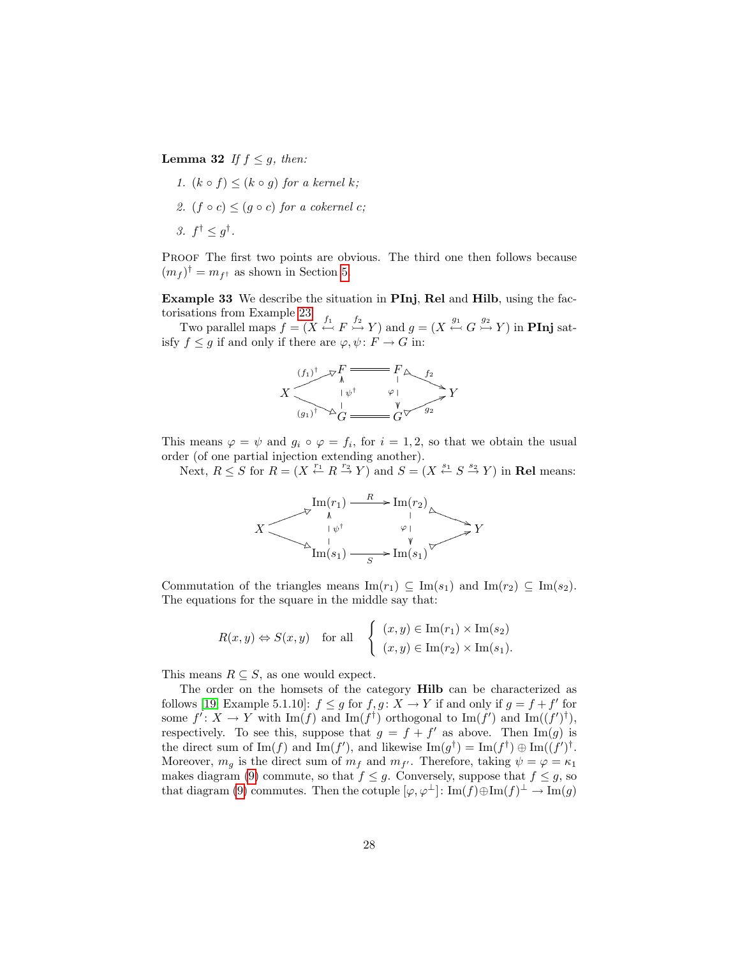**Lemma 32** If  $f \leq g$ , then:

1.  $(k \circ f) \leq (k \circ q)$  for a kernel k; 2.  $(f \circ c) \leq (q \circ c)$  for a cokernel c; 3.  $f^{\dagger} \leq g^{\dagger}$ .

PROOF The first two points are obvious. The third one then follows because  $(m_f)^\dagger = m_{f^\dagger}$  as shown in Section [5.](#page-19-0)

Example 33 We describe the situation in PInj, Rel and Hilb, using the factorisations from Example [23.](#page-20-0)

Two parallel maps  $f = (X \stackrel{f_1}{\leftrightarrow} F \stackrel{f_2}{\rightarrowtail} Y)$  and  $g = (X \stackrel{g_1}{\leftrightarrow} G \stackrel{g_2}{\rightarrowtail} Y)$  in **PInj** satisfy  $f \leq g$  if and only if there are  $\varphi, \psi \colon F \to G$  in:



This means  $\varphi = \psi$  and  $g_i \circ \varphi = f_i$ , for  $i = 1, 2$ , so that we obtain the usual order (of one partial injection extending another).

Next,  $R \leq S$  for  $R = (X \stackrel{r_1}{\leftarrow} R \stackrel{r_2}{\rightarrow} Y)$  and  $S = (X \stackrel{s_1}{\leftarrow} S \stackrel{s_2}{\rightarrow} Y)$  in **Rel** means:



Commutation of the triangles means  $\text{Im}(r_1) \subseteq \text{Im}(s_1)$  and  $\text{Im}(r_2) \subseteq \text{Im}(s_2)$ . The equations for the square in the middle say that:

$$
R(x, y) \Leftrightarrow S(x, y) \quad \text{for all} \quad \begin{cases} (x, y) \in \text{Im}(r_1) \times \text{Im}(s_2) \\ (x, y) \in \text{Im}(r_2) \times \text{Im}(s_1). \end{cases}
$$

This means  $R \subseteq S$ , as one would expect.

The order on the homsets of the category Hilb can be characterized as follows [\[19,](#page-33-12) Example 5.1.10]:  $f \leq g$  for  $f, g: X \to Y$  if and only if  $g = f + f'$  for some  $f' : X \to Y$  with  $\text{Im}(f)$  and  $\text{Im}(f^{\dagger})$  orthogonal to  $\text{Im}(f')$  and  $\text{Im}((f')^{\dagger})$ , respectively. To see this, suppose that  $g = f + f'$  as above. Then Im(g) is the direct sum of  $\text{Im}(f)$  and  $\text{Im}(f')$ , and likewise  $\text{Im}(g^{\dagger}) = \text{Im}(f^{\dagger}) \oplus \text{Im}((f')^{\dagger}$ . Moreover,  $m_g$  is the direct sum of  $m_f$  and  $m_{f'}$ . Therefore, taking  $\psi = \varphi = \kappa_1$ makes diagram [\(9\)](#page-26-1) commute, so that  $f \leq g$ . Conversely, suppose that  $f \leq g$ , so that diagram [\(9\)](#page-26-1) commutes. Then the cotuple  $[\varphi, \varphi^{\perp}] : \text{Im}(f) \oplus \text{Im}(f)^{\perp} \to \text{Im}(g)$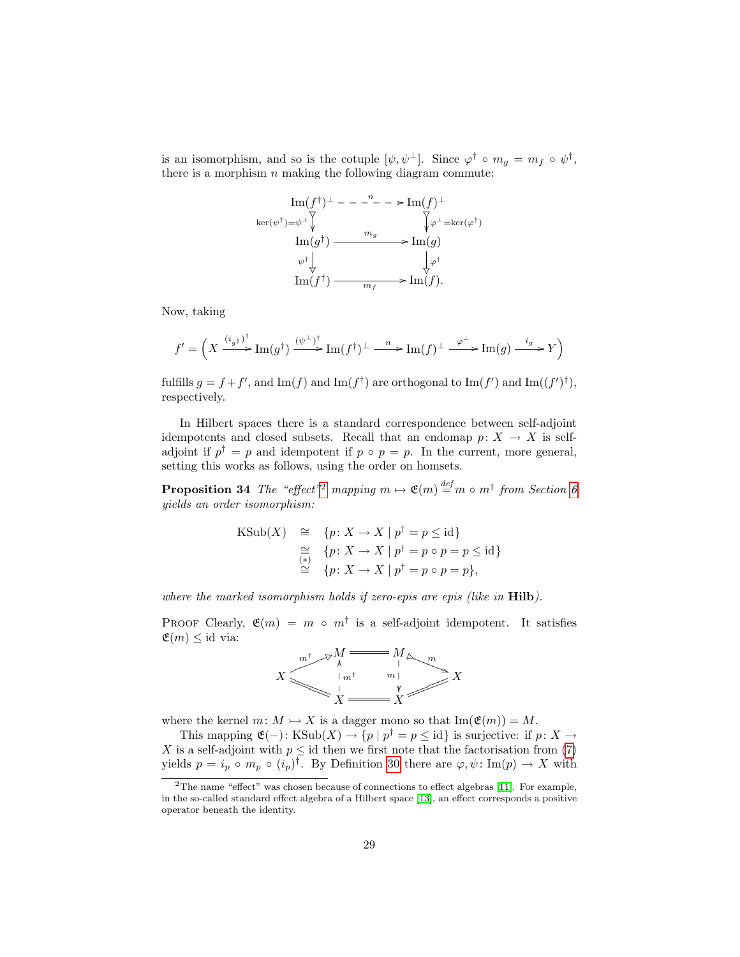is an isomorphism, and so is the cotuple  $[\psi, \psi^{\perp}]$ . Since  $\varphi^{\dagger} \circ m_g = m_f \circ \psi^{\dagger}$ , there is a morphism  $n$  making the following diagram commute:

$$
\begin{array}{ccc}\n\text{Im}(f^{\dagger})^{\perp} & - & -^{n} - & \text{Im}(f)^{\perp} \\
\text{ker}(\psi^{\dagger}) = & \sqrt{\psi^{\perp}} & \sqrt{\psi^{\perp}} = & \text{ker}(\varphi^{\dagger}) \\
\text{Im}(g^{\dagger}) & \xrightarrow{m_g} & \text{Im}(g) \\
\psi^{\dagger} & \downarrow & \sqrt{\psi^{\dagger}} \\
\text{Im}(f^{\dagger}) & \xrightarrow{m_f} & \text{Im}(f).\n\end{array}
$$

Now, taking

$$
f' = \Big(X \xrightarrow[]{(i_g\uparrow)^{\dagger}} \operatorname{Im}(g^{\dagger}) \xrightarrow[]{(\psi^{\perp})^{\dagger}} \operatorname{Im}(f^{\dagger})^{\perp} \xrightarrow[]{-n} \operatorname{Im}(f)^{\perp} \xrightarrow[]{\varphi^{\perp}} \operatorname{Im}(g) \xrightarrow[]{i_g} Y\Big)
$$

fulfills  $g = f + f'$ , and Im(f) and Im(f<sup>†</sup>) are orthogonal to Im(f') and Im((f')<sup>†</sup>), respectively.

In Hilbert spaces there is a standard correspondence between self-adjoint idempotents and closed subsets. Recall that an endomap  $p: X \to X$  is selfadjoint if  $p^{\dagger} = p$  and idempotent if  $p \circ p = p$ . In the current, more general, setting this works as follows, using the order on homsets.

**Proposition 34** The "effect"<sup>[2](#page-28-0)</sup> mapping  $m \mapsto \mathfrak{E}(m) \stackrel{def}{=} m \circ m^{\dagger}$  from Section [6](#page-21-0) yields an order isomorphism:

$$
\begin{array}{rcl}\n\text{KSub}(X) & \cong & \{p\colon X \to X \mid p^\dagger = p \leq \text{id}\} \\
& \cong & \{p\colon X \to X \mid p^\dagger = p \circ p = p \leq \text{id}\} \\
& \cong & \{p\colon X \to X \mid p^\dagger = p \circ p = p\},\n\end{array}
$$

where the marked isomorphism holds if zero-epis are epis (like in **Hilb**).

PROOF Clearly,  $\mathfrak{E}(m) = m \circ m^{\dagger}$  is a self-adjoint idempotent. It satisfies  $\mathfrak{E}(m) \leq \text{id}$  via:



where the kernel  $m: M \rightarrow X$  is a dagger mono so that  $\text{Im}(\mathfrak{E}(m)) = M$ .

This mapping  $\mathfrak{E}(-)$ : KSub $(X) \to \{p \mid p^{\dagger} = p \leq \text{id}\}\$ is surjective: if  $p: X \to$ X is a self-adjoint with  $p \leq id$  then we first note that the factorisation from [\(7\)](#page-16-1) yields  $p = i_p \circ m_p \circ (i_p)^{\dagger}$ . By Definition [30](#page-26-2) there are  $\varphi, \psi \colon \text{Im}(p) \to X$  with

<span id="page-28-0"></span> $2$ The name "effect" was chosen because of connections to effect algebras [\[11\]](#page-33-9). For example, in the so-called standard effect algebra of a Hilbert space [\[13\]](#page-33-13), an effect corresponds a positive operator beneath the identity.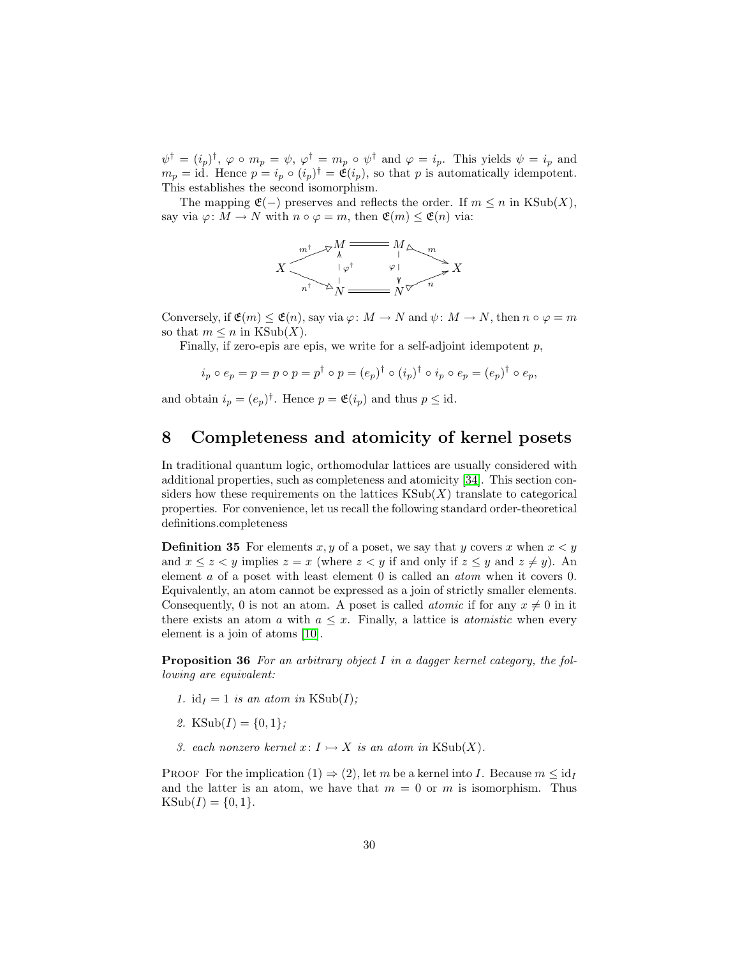$\psi^{\dagger} = (i_p)^{\dagger}, \varphi \circ m_p = \psi, \varphi^{\dagger} = m_p \circ \psi^{\dagger}$  and  $\varphi = i_p$ . This yields  $\psi = i_p$  and  $m_p = id$ . Hence  $p = i_p \circ (i_p)^{\dagger} = \mathfrak{E}(i_p)$ , so that p is automatically idempotent. This establishes the second isomorphism.

The mapping  $\mathfrak{E}(-)$  preserves and reflects the order. If  $m \leq n$  in KSub $(X)$ , say via  $\varphi: M \to N$  with  $n \circ \varphi = m$ , then  $\mathfrak{E}(m) \leq \mathfrak{E}(n)$  via:



Conversely, if  $\mathfrak{E}(m) \leq \mathfrak{E}(n)$ , say via  $\varphi \colon M \to N$  and  $\psi \colon M \to N$ , then  $n \circ \varphi = m$ so that  $m \leq n$  in KSub(X).

Finally, if zero-epis are epis, we write for a self-adjoint idempotent  $p$ ,

$$
i_p \circ e_p = p = p \circ p = p^{\dagger} \circ p = (e_p)^{\dagger} \circ (i_p)^{\dagger} \circ i_p \circ e_p = (e_p)^{\dagger} \circ e_p,
$$

and obtain  $i_p = (e_p)^{\dagger}$ . Hence  $p = \mathfrak{E}(i_p)$  and thus  $p \leq \text{id}$ .

## <span id="page-29-0"></span>8 Completeness and atomicity of kernel posets

In traditional quantum logic, orthomodular lattices are usually considered with additional properties, such as completeness and atomicity [\[34\]](#page-34-14). This section considers how these requirements on the lattices  $KSub(X)$  translate to categorical properties. For convenience, let us recall the following standard order-theoretical definitions.completeness

**Definition 35** For elements x, y of a poset, we say that y covers x when  $x < y$ and  $x \le z < y$  implies  $z = x$  (where  $z < y$  if and only if  $z \le y$  and  $z \ne y$ ). An element a of a poset with least element 0 is called an atom when it covers 0. Equivalently, an atom cannot be expressed as a join of strictly smaller elements. Consequently, 0 is not an atom. A poset is called *atomic* if for any  $x \neq 0$  in it there exists an atom a with  $a \leq x$ . Finally, a lattice is *atomistic* when every element is a join of atoms [\[10\]](#page-33-14).

<span id="page-29-1"></span>**Proposition 36** For an arbitrary object I in a dagger kernel category, the following are equivalent:

- 1. id<sub>I</sub> = 1 is an atom in KSub(I);
- 2. KSub $(I) = \{0, 1\}$ ;
- 3. each nonzero kernel  $x: I \rightarrow X$  is an atom in KSub(X).

PROOF For the implication  $(1) \Rightarrow (2)$ , let m be a kernel into I. Because  $m \leq id<sub>I</sub>$ and the latter is an atom, we have that  $m = 0$  or m is isomorphism. Thus  $KSub(I) = \{0, 1\}.$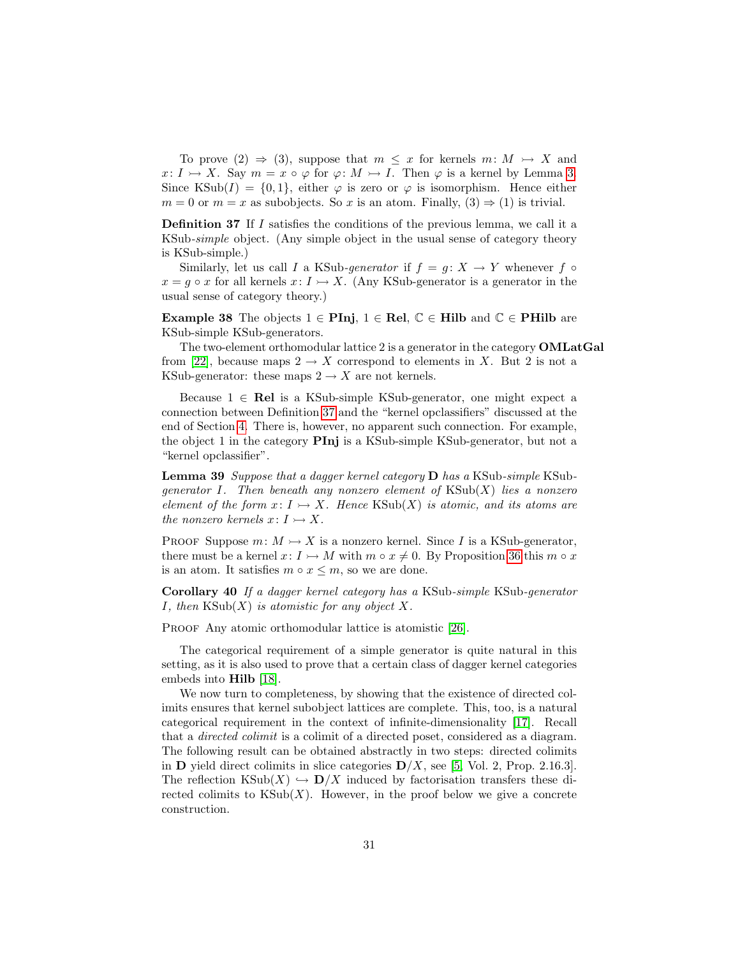To prove  $(2) \Rightarrow (3)$ , suppose that  $m \leq x$  for kernels  $m \colon M \rightarrow X$  and  $x: I \rightarrow X$ . Say  $m = x \circ \varphi$  for  $\varphi: M \rightarrow I$ . Then  $\varphi$  is a kernel by Lemma [3.](#page-3-0) Since KSub(I) =  $\{0, 1\}$ , either  $\varphi$  is zero or  $\varphi$  is isomorphism. Hence either  $m = 0$  or  $m = x$  as subobjects. So x is an atom. Finally,  $(3) \Rightarrow (1)$  is trivial.

<span id="page-30-0"></span>Definition 37 If I satisfies the conditions of the previous lemma, we call it a KSub-simple object. (Any simple object in the usual sense of category theory is KSub-simple.)

Similarly, let us call I a KSub-generator if  $f = q: X \rightarrow Y$  whenever f  $\circ$  $x = g \circ x$  for all kernels  $x: I \rightarrow X$ . (Any KSub-generator is a generator in the usual sense of category theory.)

<span id="page-30-1"></span>Example 38 The objects  $1 \in \text{Pinj}, 1 \in \text{Rel}, \mathbb{C} \in \text{Hilb}$  and  $\mathbb{C} \in \text{PHilb}$  are KSub-simple KSub-generators.

The two-element orthomodular lattice 2 is a generator in the category OMLatGal from [\[22\]](#page-33-5), because maps  $2 \rightarrow X$  correspond to elements in X. But 2 is not a KSub-generator: these maps  $2 \rightarrow X$  are not kernels.

Because  $1 \in \text{Rel}$  is a KSub-simple KSub-generator, one might expect a connection between Definition [37](#page-30-0) and the "kernel opclassifiers" discussed at the end of Section [4.](#page-14-0) There is, however, no apparent such connection. For example, the object 1 in the category  $\text{PInj}$  is a KSub-simple KSub-generator, but not a "kernel opclassifier".

Lemma 39 Suppose that a dagger kernel category D has a KSub-simple KSubgenerator I. Then beneath any nonzero element of  $KSub(X)$  lies a nonzero element of the form  $x: I \rightarrow X$ . Hence  $\text{KSub}(X)$  is atomic, and its atoms are the nonzero kernels  $x: I \rightarrow X$ .

PROOF Suppose  $m: M \rightarrow X$  is a nonzero kernel. Since I is a KSub-generator, there must be a kernel  $x: I \rightarrow M$  with  $m \circ x \neq 0$ . By Proposition [36](#page-29-1) this  $m \circ x$ is an atom. It satisfies  $m \circ x \leq m$ , so we are done.

Corollary 40 If a dagger kernel category has a KSub-simple KSub-generator *I*, then  $\text{KSub}(X)$  is atomistic for any object X.

PROOF Any atomic orthomodular lattice is atomistic [\[26\]](#page-34-6).

The categorical requirement of a simple generator is quite natural in this setting, as it is also used to prove that a certain class of dagger kernel categories embeds into Hilb [\[18\]](#page-33-2).

We now turn to completeness, by showing that the existence of directed colimits ensures that kernel subobject lattices are complete. This, too, is a natural categorical requirement in the context of infinite-dimensionality [\[17\]](#page-33-15). Recall that a directed colimit is a colimit of a directed poset, considered as a diagram. The following result can be obtained abstractly in two steps: directed colimits in **D** yield direct colimits in slice categories  $D/X$ , see [\[5,](#page-32-6) Vol. 2, Prop. 2.16.3]. The reflection KSub(X)  $\hookrightarrow$   $\mathbf{D}/X$  induced by factorisation transfers these directed colimits to  $\text{KSub}(X)$ . However, in the proof below we give a concrete construction.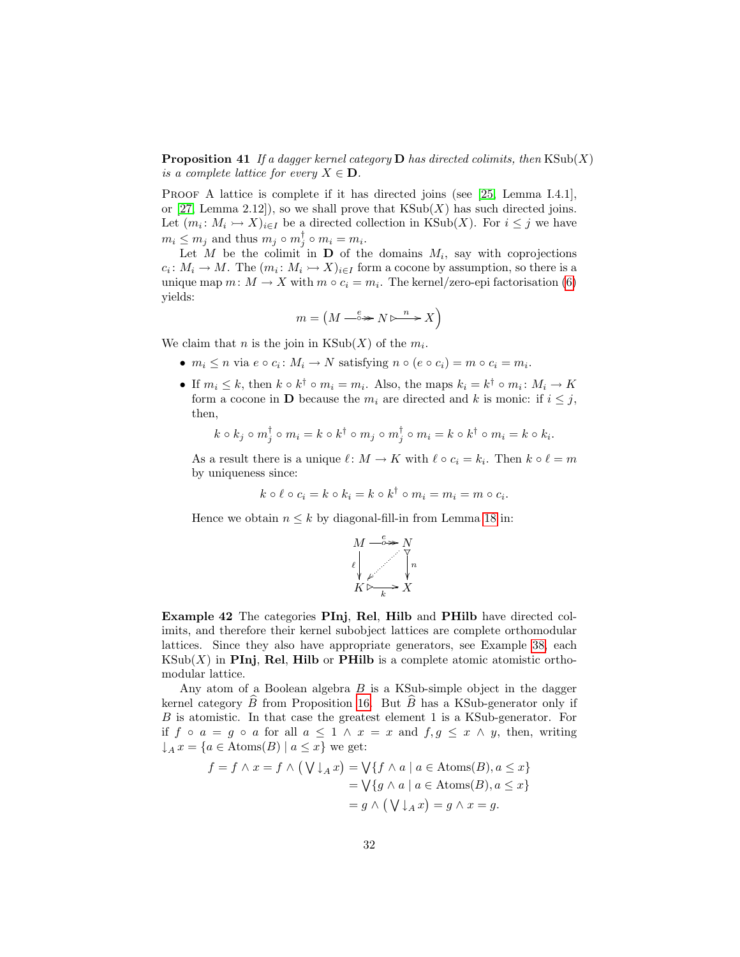**Proposition 41** If a dagger kernel category **D** has directed colimits, then  $\text{KSub}(X)$ is a complete lattice for every  $X \in \mathbf{D}$ .

PROOF A lattice is complete if it has directed joins (see [\[25,](#page-33-16) Lemma I.4.1], or  $[27, \text{Lemma } 2.12]$  $[27, \text{Lemma } 2.12]$ , so we shall prove that  $\text{KSub}(X)$  has such directed joins. Let  $(m_i: M_i \rightarrow X)_{i \in I}$  be a directed collection in KSub(X). For  $i \leq j$  we have  $m_i \leq m_j$  and thus  $m_j \circ m_j^{\dagger} \circ m_i = m_i$ .

Let M be the colimit in  $\mathbf D$  of the domains  $M_i$ , say with coprojections  $c_i: M_i \to M$ . The  $(m_i: M_i \to X)_{i \in I}$  form a cocone by assumption, so there is a unique map  $m: M \to X$  with  $m \circ c_i = m_i$ . The kernel/zero-epi factorisation [\(6\)](#page-14-1) yields:

$$
m = \left( M \xrightarrow{\ e \ } N \triangleright \xrightarrow{\ n \ } X \right)
$$

We claim that *n* is the join in  $KSub(X)$  of the  $m_i$ .

- $m_i \leq n$  via  $e \circ c_i : M_i \to N$  satisfying  $n \circ (e \circ c_i) = m \circ c_i = m_i$ .
- If  $m_i \leq k$ , then  $k \circ k^{\dagger} \circ m_i = m_i$ . Also, the maps  $k_i = k^{\dagger} \circ m_i : M_i \to K$ form a cocone in D because the  $m_i$  are directed and k is monic: if  $i \leq j$ , then,

$$
k \circ k_j \circ m_j^{\dagger} \circ m_i = k \circ k^{\dagger} \circ m_j \circ m_j^{\dagger} \circ m_i = k \circ k^{\dagger} \circ m_i = k \circ k_i.
$$

As a result there is a unique  $\ell : M \to K$  with  $\ell \circ c_i = k_i$ . Then  $k \circ \ell = m$ by uniqueness since:

$$
k \circ \ell \circ c_i = k \circ k_i = k \circ k^{\dagger} \circ m_i = m_i = m \circ c_i.
$$

Hence we obtain  $n \leq k$  by diagonal-fill-in from Lemma [18](#page-15-1) in:



Example 42 The categories PInj, Rel, Hilb and PHilb have directed colimits, and therefore their kernel subobject lattices are complete orthomodular lattices. Since they also have appropriate generators, see Example [38,](#page-30-1) each  $\text{KSub}(X)$  in PInj, Rel, Hilb or PHilb is a complete atomic atomistic orthomodular lattice.

Any atom of a Boolean algebra  $B$  is a KSub-simple object in the dagger kernel category  $B$  from Proposition [16.](#page-13-1) But  $B$  has a KSub-generator only if B is atomistic. In that case the greatest element 1 is a KSub-generator. For if  $f \circ a = g \circ a$  for all  $a \leq 1 \land x = x$  and  $f, g \leq x \land y$ , then, writing  $\downarrow_A x = \{a \in \text{Atoms}(B) \mid a \leq x\}$  we get:

$$
f = f \land x = f \land (\bigvee \downarrow_A x) = \bigvee \{ f \land a \mid a \in \text{Atoms}(B), a \le x \}
$$

$$
= \bigvee \{ g \land a \mid a \in \text{Atoms}(B), a \le x \}
$$

$$
= g \land (\bigvee \downarrow_A x) = g \land x = g.
$$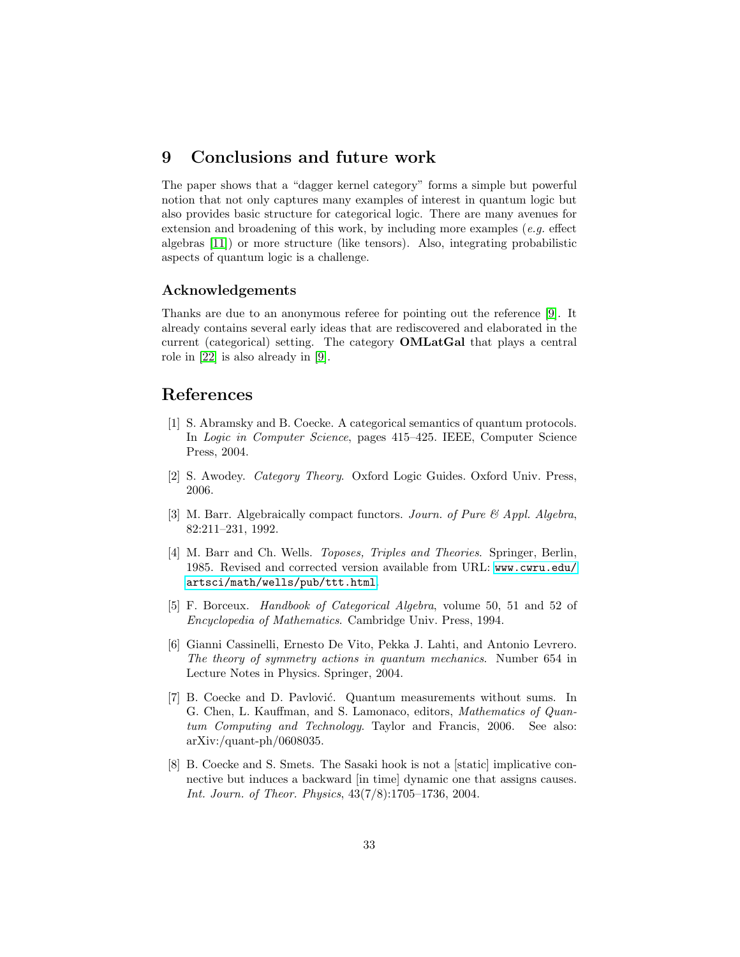## 9 Conclusions and future work

The paper shows that a "dagger kernel category" forms a simple but powerful notion that not only captures many examples of interest in quantum logic but also provides basic structure for categorical logic. There are many avenues for extension and broadening of this work, by including more examples (e.g. effect algebras [\[11\]](#page-33-9)) or more structure (like tensors). Also, integrating probabilistic aspects of quantum logic is a challenge.

### Acknowledgements

Thanks are due to an anonymous referee for pointing out the reference [\[9\]](#page-33-3). It already contains several early ideas that are rediscovered and elaborated in the current (categorical) setting. The category OMLatGal that plays a central role in [\[22\]](#page-33-5) is also already in [\[9\]](#page-33-3).

# References

- <span id="page-32-0"></span>[1] S. Abramsky and B. Coecke. A categorical semantics of quantum protocols. In Logic in Computer Science, pages 415–425. IEEE, Computer Science Press, 2004.
- <span id="page-32-3"></span>[2] S. Awodey. Category Theory. Oxford Logic Guides. Oxford Univ. Press, 2006.
- <span id="page-32-4"></span>[3] M. Barr. Algebraically compact functors. Journ. of Pure & Appl. Algebra, 82:211–231, 1992.
- <span id="page-32-5"></span>[4] M. Barr and Ch. Wells. *Toposes, Triples and Theories*. Springer, Berlin, 1985. Revised and corrected version available from URL: [www.cwru.edu/](www.cwru.edu/artsci/math/wells/pub/ttt.html) [artsci/math/wells/pub/ttt.html](www.cwru.edu/artsci/math/wells/pub/ttt.html).
- <span id="page-32-6"></span>[5] F. Borceux. Handbook of Categorical Algebra, volume 50, 51 and 52 of Encyclopedia of Mathematics. Cambridge Univ. Press, 1994.
- <span id="page-32-2"></span>[6] Gianni Cassinelli, Ernesto De Vito, Pekka J. Lahti, and Antonio Levrero. The theory of symmetry actions in quantum mechanics. Number 654 in Lecture Notes in Physics. Springer, 2004.
- <span id="page-32-1"></span>[7] B. Coecke and D. Pavlović. Quantum measurements without sums. In G. Chen, L. Kauffman, and S. Lamonaco, editors, Mathematics of Quantum Computing and Technology. Taylor and Francis, 2006. See also: arXiv:/quant-ph/0608035.
- <span id="page-32-7"></span>[8] B. Coecke and S. Smets. The Sasaki hook is not a [static] implicative connective but induces a backward [in time] dynamic one that assigns causes. Int. Journ. of Theor. Physics, 43(7/8):1705–1736, 2004.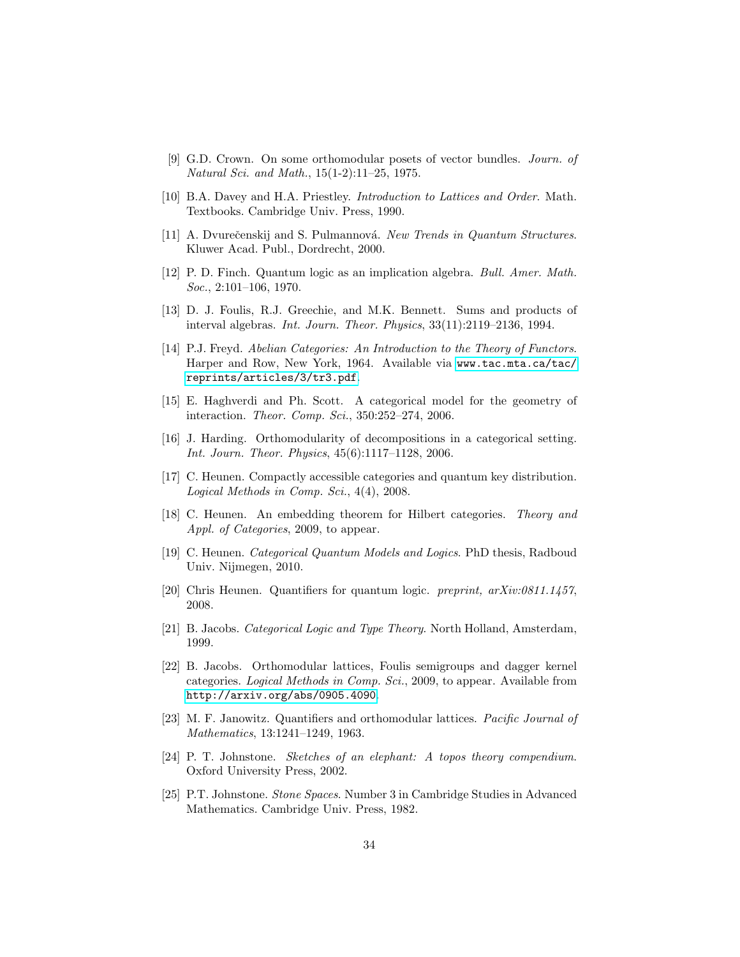- <span id="page-33-3"></span>[9] G.D. Crown. On some orthomodular posets of vector bundles. Journ. of Natural Sci. and Math., 15(1-2):11–25, 1975.
- <span id="page-33-14"></span>[10] B.A. Davey and H.A. Priestley. Introduction to Lattices and Order. Math. Textbooks. Cambridge Univ. Press, 1990.
- <span id="page-33-9"></span>[11] A. Dyurečenskij and S. Pulmannová. New Trends in Quantum Structures. Kluwer Acad. Publ., Dordrecht, 2000.
- <span id="page-33-10"></span>[12] P. D. Finch. Quantum logic as an implication algebra. Bull. Amer. Math. Soc., 2:101–106, 1970.
- <span id="page-33-13"></span>[13] D. J. Foulis, R.J. Greechie, and M.K. Bennett. Sums and products of interval algebras. Int. Journ. Theor. Physics, 33(11):2119–2136, 1994.
- <span id="page-33-4"></span>[14] P.J. Freyd. Abelian Categories: An Introduction to the Theory of Functors. Harper and Row, New York, 1964. Available via [www.tac.mta.ca/tac/](www.tac.mta.ca/tac/reprints/articles/3/tr3.pdf) [reprints/articles/3/tr3.pdf](www.tac.mta.ca/tac/reprints/articles/3/tr3.pdf).
- <span id="page-33-6"></span>[15] E. Haghverdi and Ph. Scott. A categorical model for the geometry of interaction. Theor. Comp. Sci., 350:252–274, 2006.
- <span id="page-33-7"></span>[16] J. Harding. Orthomodularity of decompositions in a categorical setting. Int. Journ. Theor. Physics, 45(6):1117–1128, 2006.
- <span id="page-33-15"></span>[17] C. Heunen. Compactly accessible categories and quantum key distribution. Logical Methods in Comp. Sci., 4(4), 2008.
- <span id="page-33-2"></span>[18] C. Heunen. An embedding theorem for Hilbert categories. Theory and Appl. of Categories, 2009, to appear.
- <span id="page-33-12"></span>[19] C. Heunen. Categorical Quantum Models and Logics. PhD thesis, Radboud Univ. Nijmegen, 2010.
- <span id="page-33-1"></span>[20] Chris Heunen. Quantifiers for quantum logic. *preprint, arXiv:0811.1457*, 2008.
- <span id="page-33-0"></span>[21] B. Jacobs. Categorical Logic and Type Theory. North Holland, Amsterdam, 1999.
- <span id="page-33-5"></span>[22] B. Jacobs. Orthomodular lattices, Foulis semigroups and dagger kernel categories. Logical Methods in Comp. Sci., 2009, to appear. Available from <http://arxiv.org/abs/0905.4090>.
- <span id="page-33-8"></span>[23] M. F. Janowitz. Quantifiers and orthomodular lattices. Pacific Journal of Mathematics, 13:1241–1249, 1963.
- <span id="page-33-11"></span>[24] P. T. Johnstone. Sketches of an elephant: A topos theory compendium. Oxford University Press, 2002.
- <span id="page-33-16"></span>[25] P.T. Johnstone. Stone Spaces. Number 3 in Cambridge Studies in Advanced Mathematics. Cambridge Univ. Press, 1982.